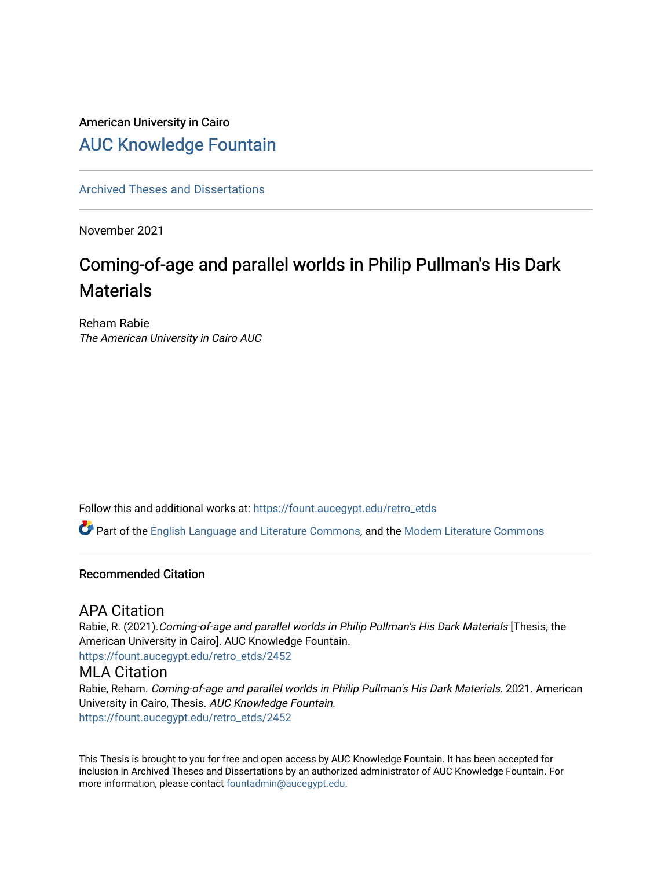# American University in Cairo [AUC Knowledge Fountain](https://fount.aucegypt.edu/)

[Archived Theses and Dissertations](https://fount.aucegypt.edu/retro_etds) 

November 2021

# Coming-of-age and parallel worlds in Philip Pullman's His Dark **Materials**

Reham Rabie The American University in Cairo AUC

Follow this and additional works at: [https://fount.aucegypt.edu/retro\\_etds](https://fount.aucegypt.edu/retro_etds?utm_source=fount.aucegypt.edu%2Fretro_etds%2F2452&utm_medium=PDF&utm_campaign=PDFCoverPages) 

Part of the [English Language and Literature Commons](http://network.bepress.com/hgg/discipline/455?utm_source=fount.aucegypt.edu%2Fretro_etds%2F2452&utm_medium=PDF&utm_campaign=PDFCoverPages), and the [Modern Literature Commons](http://network.bepress.com/hgg/discipline/1050?utm_source=fount.aucegypt.edu%2Fretro_etds%2F2452&utm_medium=PDF&utm_campaign=PDFCoverPages)

# Recommended Citation

# APA Citation

Rabie, R. (2021).Coming-of-age and parallel worlds in Philip Pullman's His Dark Materials [Thesis, the American University in Cairo]. AUC Knowledge Fountain. [https://fount.aucegypt.edu/retro\\_etds/2452](https://fount.aucegypt.edu/retro_etds/2452?utm_source=fount.aucegypt.edu%2Fretro_etds%2F2452&utm_medium=PDF&utm_campaign=PDFCoverPages) 

# MLA Citation

Rabie, Reham. Coming-of-age and parallel worlds in Philip Pullman's His Dark Materials. 2021. American University in Cairo, Thesis. AUC Knowledge Fountain. [https://fount.aucegypt.edu/retro\\_etds/2452](https://fount.aucegypt.edu/retro_etds/2452?utm_source=fount.aucegypt.edu%2Fretro_etds%2F2452&utm_medium=PDF&utm_campaign=PDFCoverPages) 

This Thesis is brought to you for free and open access by AUC Knowledge Fountain. It has been accepted for inclusion in Archived Theses and Dissertations by an authorized administrator of AUC Knowledge Fountain. For more information, please contact [fountadmin@aucegypt.edu.](mailto:fountadmin@aucegypt.edu)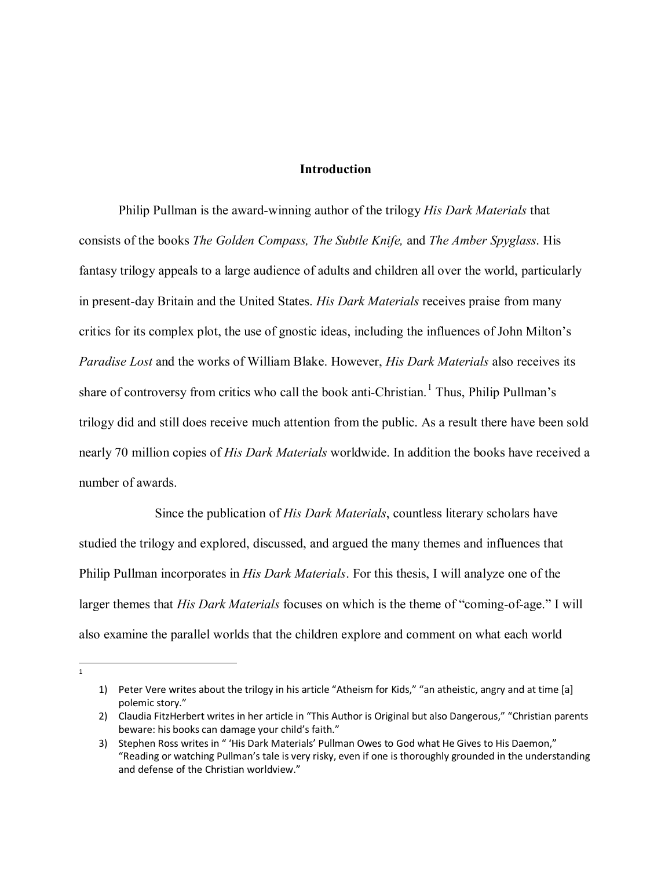# **Introduction**

Philip Pullman is the award-winning author of the trilogy *His Dark Materials* that consists of the books *The Golden Compass, The Subtle Knife,* and *The Amber Spyglass*. His fantasy trilogy appeals to a large audience of adults and children all over the world, particularly in present-day Britain and the United States. *His Dark Materials* receives praise from many critics for its complex plot, the use of gnostic ideas, including the influences of John Milton's *Paradise Lost* and the works of William Blake. However, *His Dark Materials* also receives its share of controversy from critics who call the book anti-Christian.<sup>[1](#page-1-0)</sup> Thus, Philip Pullman's trilogy did and still does receive much attention from the public. As a result there have been sold nearly 70 million copies of *His Dark Materials* worldwide. In addition the books have received a number of awards.

 Since the publication of *His Dark Materials*, countless literary scholars have studied the trilogy and explored, discussed, and argued the many themes and influences that Philip Pullman incorporates in *His Dark Materials*. For this thesis, I will analyze one of the larger themes that *His Dark Materials* focuses on which is the theme of "coming-of-age." I will also examine the parallel worlds that the children explore and comment on what each world

<span id="page-1-0"></span> $\overline{1}$  $\overline{1}$ 

<sup>1)</sup> Peter Vere writes about the trilogy in his article "Atheism for Kids," "an atheistic, angry and at time [a] polemic story."

<sup>2)</sup> Claudia FitzHerbert writes in her article in "This Author is Original but also Dangerous," "Christian parents beware: his books can damage your child's faith."

<sup>3)</sup> Stephen Ross writes in " 'His Dark Materials' Pullman Owes to God what He Gives to His Daemon," "Reading or watching Pullman's tale is very risky, even if one is thoroughly grounded in the understanding and defense of the Christian worldview."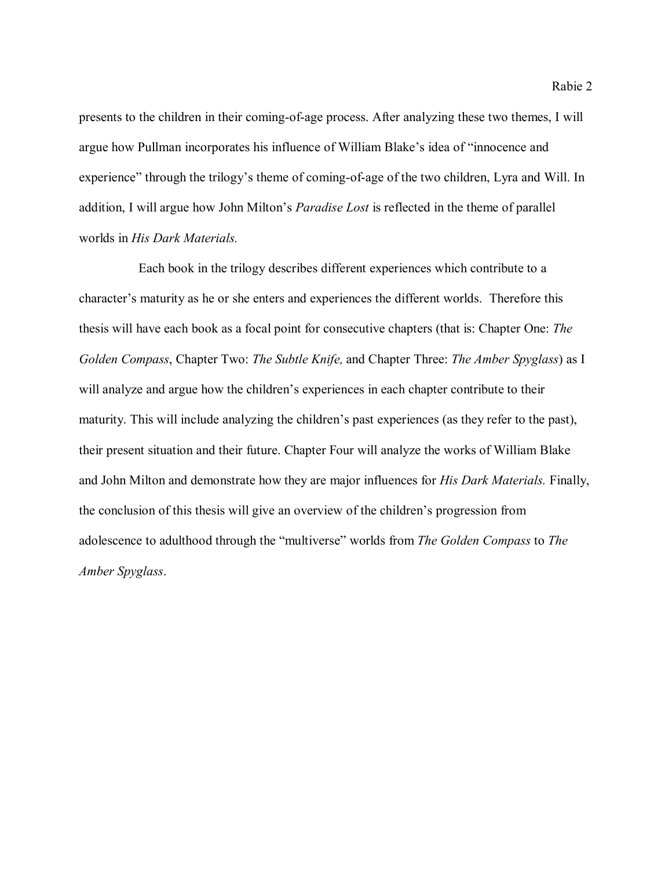presents to the children in their coming-of-age process. After analyzing these two themes, I will argue how Pullman incorporates his influence of William Blake's idea of "innocence and experience" through the trilogy's theme of coming-of-age of the two children, Lyra and Will. In addition, I will argue how John Milton's *Paradise Lost* is reflected in the theme of parallel worlds in *His Dark Materials.*

 Each book in the trilogy describes different experiences which contribute to a character's maturity as he or she enters and experiences the different worlds. Therefore this thesis will have each book as a focal point for consecutive chapters (that is: Chapter One: *The Golden Compass*, Chapter Two: *The Subtle Knife,* and Chapter Three: *The Amber Spyglass*) as I will analyze and argue how the children's experiences in each chapter contribute to their maturity. This will include analyzing the children's past experiences (as they refer to the past), their present situation and their future. Chapter Four will analyze the works of William Blake and John Milton and demonstrate how they are major influences for *His Dark Materials.* Finally, the conclusion of this thesis will give an overview of the children's progression from adolescence to adulthood through the "multiverse" worlds from *The Golden Compass* to *The Amber Spyglass*.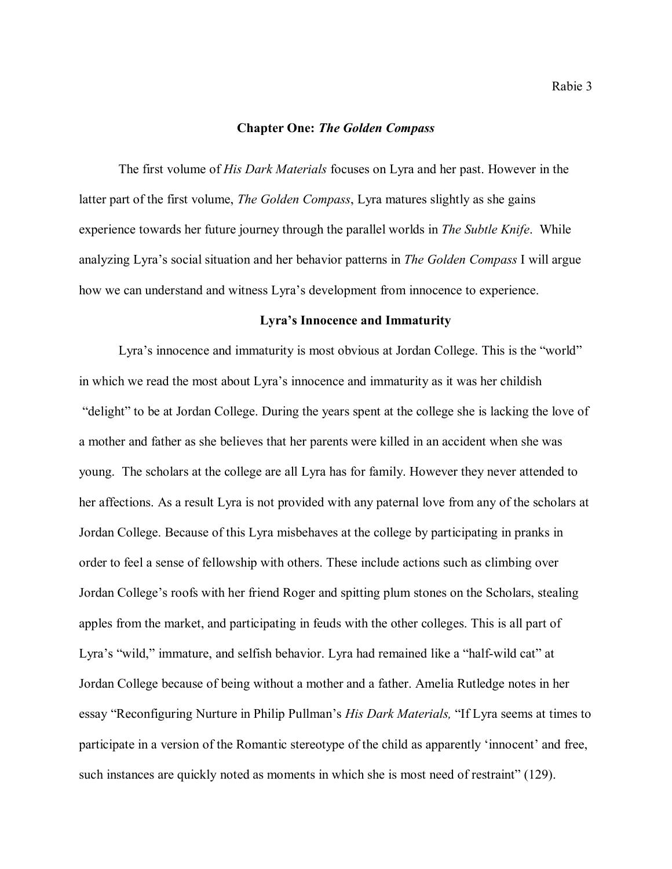#### **Chapter One:** *The Golden Compass*

The first volume of *His Dark Materials* focuses on Lyra and her past. However in the latter part of the first volume, *The Golden Compass*, Lyra matures slightly as she gains experience towards her future journey through the parallel worlds in *The Subtle Knife*. While analyzing Lyra's social situation and her behavior patterns in *The Golden Compass* I will argue how we can understand and witness Lyra's development from innocence to experience.

#### **Lyra's Innocence and Immaturity**

Lyra's innocence and immaturity is most obvious at Jordan College. This is the "world" in which we read the most about Lyra's innocence and immaturity as it was her childish "delight" to be at Jordan College. During the years spent at the college she is lacking the love of a mother and father as she believes that her parents were killed in an accident when she was young. The scholars at the college are all Lyra has for family. However they never attended to her affections. As a result Lyra is not provided with any paternal love from any of the scholars at Jordan College. Because of this Lyra misbehaves at the college by participating in pranks in order to feel a sense of fellowship with others. These include actions such as climbing over Jordan College's roofs with her friend Roger and spitting plum stones on the Scholars, stealing apples from the market, and participating in feuds with the other colleges. This is all part of Lyra's "wild," immature, and selfish behavior. Lyra had remained like a "half-wild cat" at Jordan College because of being without a mother and a father. Amelia Rutledge notes in her essay "Reconfiguring Nurture in Philip Pullman's *His Dark Materials,* "If Lyra seems at times to participate in a version of the Romantic stereotype of the child as apparently 'innocent' and free, such instances are quickly noted as moments in which she is most need of restraint" (129).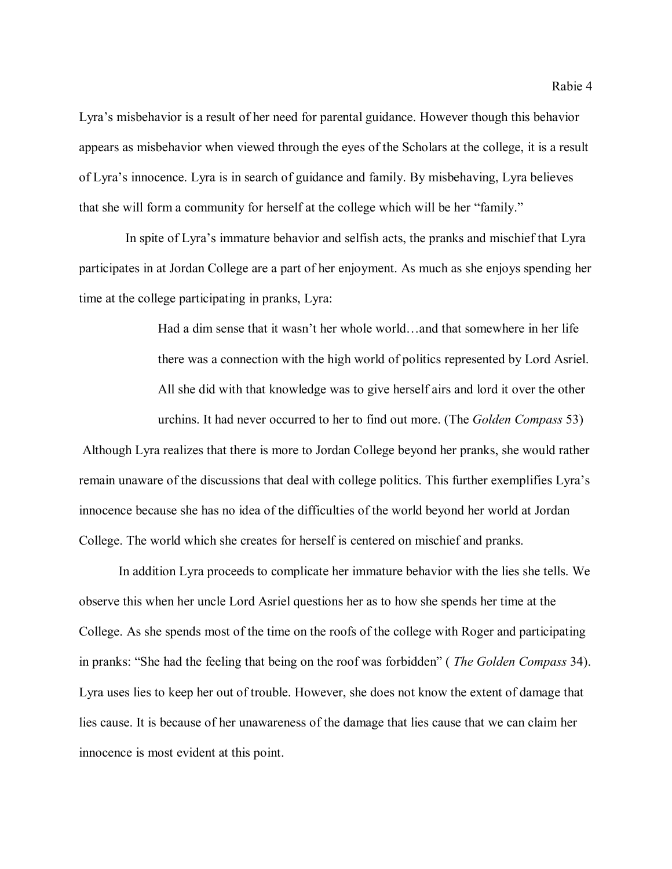Lyra's misbehavior is a result of her need for parental guidance. However though this behavior appears as misbehavior when viewed through the eyes of the Scholars at the college, it is a result of Lyra's innocence. Lyra is in search of guidance and family. By misbehaving, Lyra believes that she will form a community for herself at the college which will be her "family."

 In spite of Lyra's immature behavior and selfish acts, the pranks and mischief that Lyra participates in at Jordan College are a part of her enjoyment. As much as she enjoys spending her time at the college participating in pranks, Lyra:

> Had a dim sense that it wasn't her whole world…and that somewhere in her life there was a connection with the high world of politics represented by Lord Asriel. All she did with that knowledge was to give herself airs and lord it over the other urchins. It had never occurred to her to find out more. (The *Golden Compass* 53)

Although Lyra realizes that there is more to Jordan College beyond her pranks, she would rather remain unaware of the discussions that deal with college politics. This further exemplifies Lyra's innocence because she has no idea of the difficulties of the world beyond her world at Jordan College. The world which she creates for herself is centered on mischief and pranks.

In addition Lyra proceeds to complicate her immature behavior with the lies she tells. We observe this when her uncle Lord Asriel questions her as to how she spends her time at the College. As she spends most of the time on the roofs of the college with Roger and participating in pranks: "She had the feeling that being on the roof was forbidden" ( *The Golden Compass* 34). Lyra uses lies to keep her out of trouble. However, she does not know the extent of damage that lies cause. It is because of her unawareness of the damage that lies cause that we can claim her innocence is most evident at this point.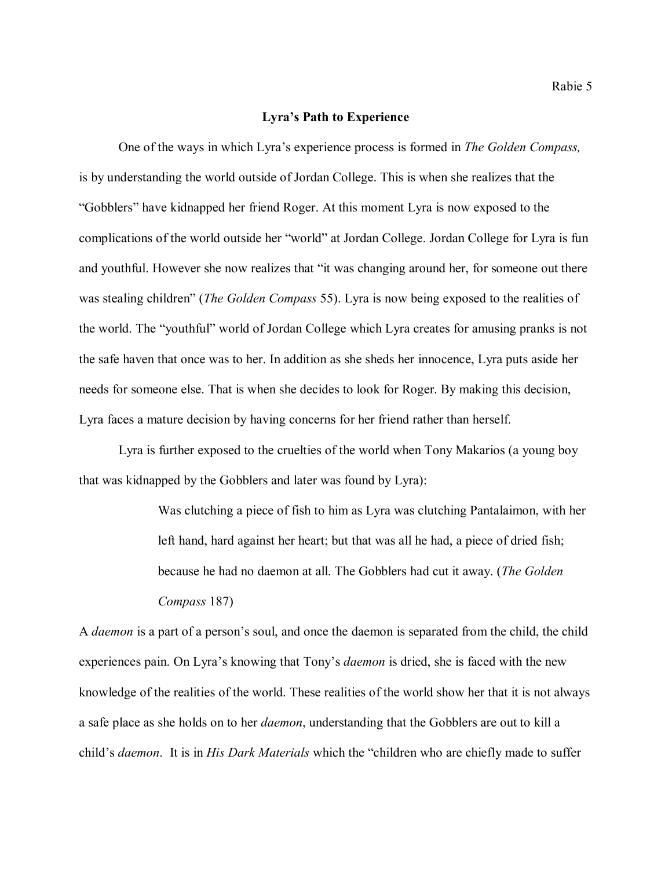#### **Lyra's Path to Experience**

One of the ways in which Lyra's experience process is formed in *The Golden Compass,* is by understanding the world outside of Jordan College. This is when she realizes that the "Gobblers" have kidnapped her friend Roger. At this moment Lyra is now exposed to the complications of the world outside her "world" at Jordan College. Jordan College for Lyra is fun and youthful. However she now realizes that "it was changing around her, for someone out there was stealing children" (*The Golden Compass* 55). Lyra is now being exposed to the realities of the world. The "youthful" world of Jordan College which Lyra creates for amusing pranks is not the safe haven that once was to her. In addition as she sheds her innocence, Lyra puts aside her needs for someone else. That is when she decides to look for Roger. By making this decision, Lyra faces a mature decision by having concerns for her friend rather than herself.

Lyra is further exposed to the cruelties of the world when Tony Makarios (a young boy that was kidnapped by the Gobblers and later was found by Lyra):

> Was clutching a piece of fish to him as Lyra was clutching Pantalaimon, with her left hand, hard against her heart; but that was all he had, a piece of dried fish; because he had no daemon at all. The Gobblers had cut it away. (*The Golden Compass* 187)

A *daemon* is a part of a person's soul, and once the daemon is separated from the child, the child experiences pain. On Lyra's knowing that Tony's *daemon* is dried, she is faced with the new knowledge of the realities of the world. These realities of the world show her that it is not always a safe place as she holds on to her *daemon*, understanding that the Gobblers are out to kill a child's *daemon*. It is in *His Dark Materials* which the "children who are chiefly made to suffer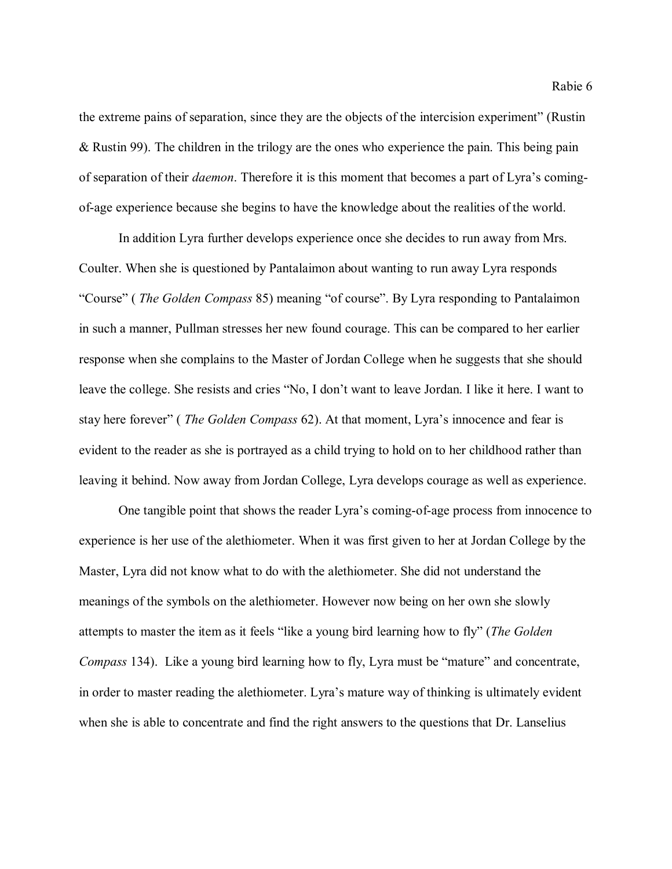the extreme pains of separation, since they are the objects of the intercision experiment" (Rustin & Rustin 99). The children in the trilogy are the ones who experience the pain. This being pain of separation of their *daemon*. Therefore it is this moment that becomes a part of Lyra's comingof-age experience because she begins to have the knowledge about the realities of the world.

In addition Lyra further develops experience once she decides to run away from Mrs. Coulter. When she is questioned by Pantalaimon about wanting to run away Lyra responds "Course" ( *The Golden Compass* 85) meaning "of course". By Lyra responding to Pantalaimon in such a manner, Pullman stresses her new found courage. This can be compared to her earlier response when she complains to the Master of Jordan College when he suggests that she should leave the college. She resists and cries "No, I don't want to leave Jordan. I like it here. I want to stay here forever" ( *The Golden Compass* 62). At that moment, Lyra's innocence and fear is evident to the reader as she is portrayed as a child trying to hold on to her childhood rather than leaving it behind. Now away from Jordan College, Lyra develops courage as well as experience.

 One tangible point that shows the reader Lyra's coming-of-age process from innocence to experience is her use of the alethiometer. When it was first given to her at Jordan College by the Master, Lyra did not know what to do with the alethiometer. She did not understand the meanings of the symbols on the alethiometer. However now being on her own she slowly attempts to master the item as it feels "like a young bird learning how to fly" (*The Golden Compass* 134). Like a young bird learning how to fly, Lyra must be "mature" and concentrate, in order to master reading the alethiometer. Lyra's mature way of thinking is ultimately evident when she is able to concentrate and find the right answers to the questions that Dr. Lanselius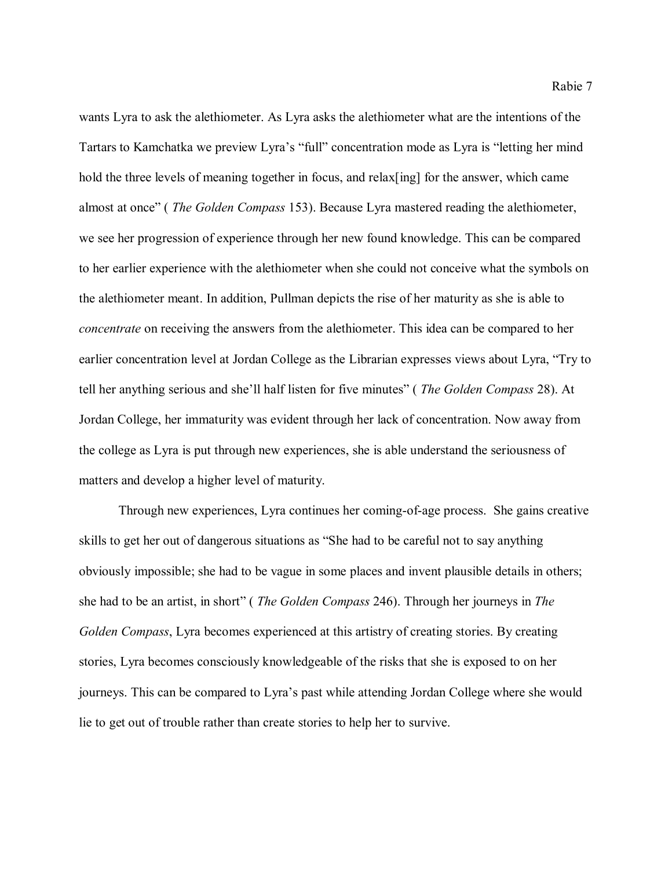wants Lyra to ask the alethiometer. As Lyra asks the alethiometer what are the intentions of the Tartars to Kamchatka we preview Lyra's "full" concentration mode as Lyra is "letting her mind hold the three levels of meaning together in focus, and relax [ing] for the answer, which came almost at once" ( *The Golden Compass* 153). Because Lyra mastered reading the alethiometer, we see her progression of experience through her new found knowledge. This can be compared to her earlier experience with the alethiometer when she could not conceive what the symbols on the alethiometer meant. In addition, Pullman depicts the rise of her maturity as she is able to *concentrate* on receiving the answers from the alethiometer. This idea can be compared to her earlier concentration level at Jordan College as the Librarian expresses views about Lyra, "Try to tell her anything serious and she'll half listen for five minutes" ( *The Golden Compass* 28). At Jordan College, her immaturity was evident through her lack of concentration. Now away from the college as Lyra is put through new experiences, she is able understand the seriousness of matters and develop a higher level of maturity.

Through new experiences, Lyra continues her coming-of-age process. She gains creative skills to get her out of dangerous situations as "She had to be careful not to say anything obviously impossible; she had to be vague in some places and invent plausible details in others; she had to be an artist, in short" ( *The Golden Compass* 246). Through her journeys in *The Golden Compass*, Lyra becomes experienced at this artistry of creating stories. By creating stories, Lyra becomes consciously knowledgeable of the risks that she is exposed to on her journeys. This can be compared to Lyra's past while attending Jordan College where she would lie to get out of trouble rather than create stories to help her to survive.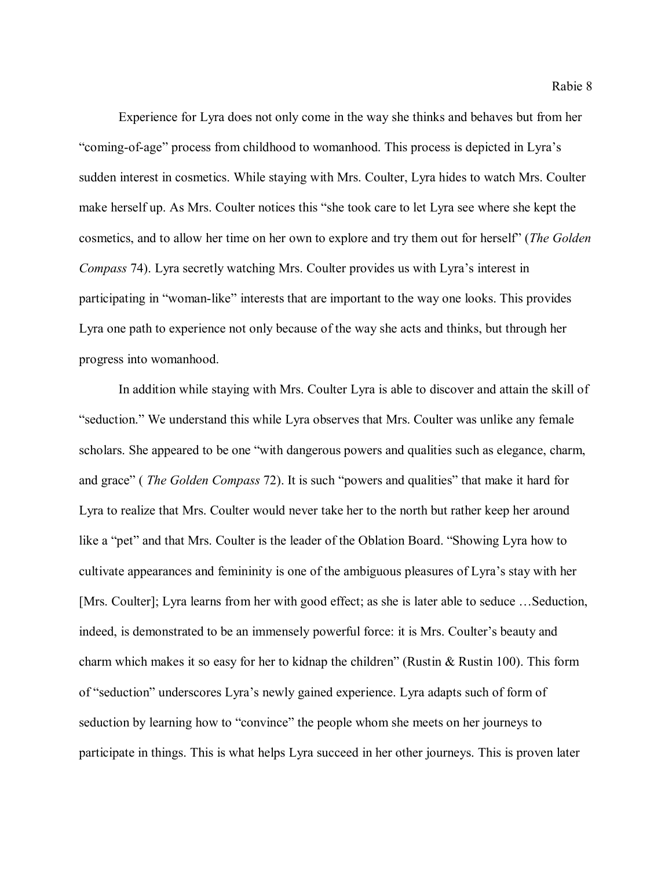Experience for Lyra does not only come in the way she thinks and behaves but from her "coming-of-age" process from childhood to womanhood. This process is depicted in Lyra's sudden interest in cosmetics. While staying with Mrs. Coulter, Lyra hides to watch Mrs. Coulter make herself up. As Mrs. Coulter notices this "she took care to let Lyra see where she kept the cosmetics, and to allow her time on her own to explore and try them out for herself" (*The Golden Compass* 74). Lyra secretly watching Mrs. Coulter provides us with Lyra's interest in participating in "woman-like" interests that are important to the way one looks. This provides Lyra one path to experience not only because of the way she acts and thinks, but through her progress into womanhood.

In addition while staying with Mrs. Coulter Lyra is able to discover and attain the skill of "seduction." We understand this while Lyra observes that Mrs. Coulter was unlike any female scholars. She appeared to be one "with dangerous powers and qualities such as elegance, charm, and grace" ( *The Golden Compass* 72). It is such "powers and qualities" that make it hard for Lyra to realize that Mrs. Coulter would never take her to the north but rather keep her around like a "pet" and that Mrs. Coulter is the leader of the Oblation Board. "Showing Lyra how to cultivate appearances and femininity is one of the ambiguous pleasures of Lyra's stay with her [Mrs. Coulter]; Lyra learns from her with good effect; as she is later able to seduce …Seduction, indeed, is demonstrated to be an immensely powerful force: it is Mrs. Coulter's beauty and charm which makes it so easy for her to kidnap the children" (Rustin & Rustin 100). This form of "seduction" underscores Lyra's newly gained experience. Lyra adapts such of form of seduction by learning how to "convince" the people whom she meets on her journeys to participate in things. This is what helps Lyra succeed in her other journeys. This is proven later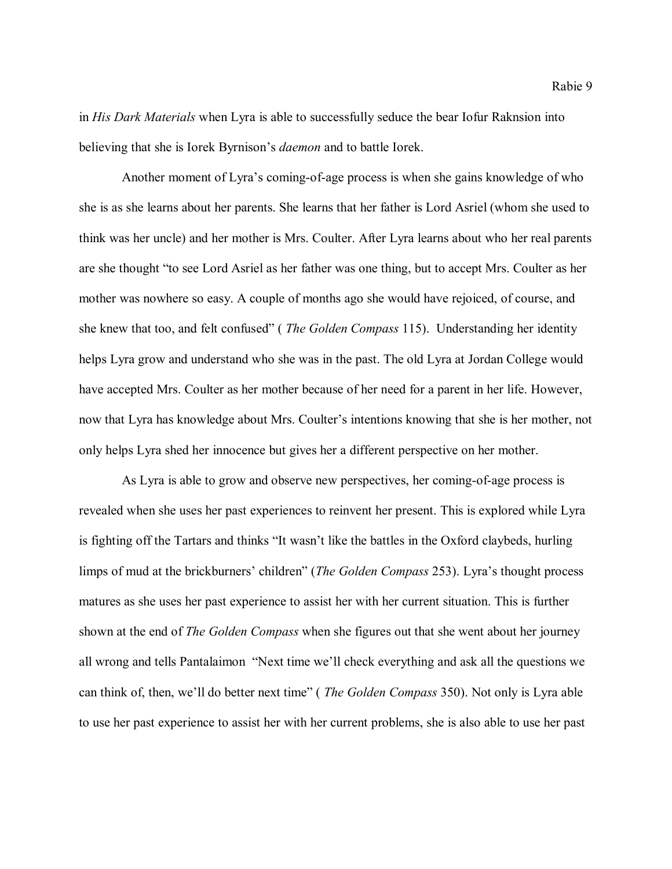in *His Dark Materials* when Lyra is able to successfully seduce the bear Iofur Raknsion into believing that she is Iorek Byrnison's *daemon* and to battle Iorek.

Another moment of Lyra's coming-of-age process is when she gains knowledge of who she is as she learns about her parents. She learns that her father is Lord Asriel (whom she used to think was her uncle) and her mother is Mrs. Coulter. After Lyra learns about who her real parents are she thought "to see Lord Asriel as her father was one thing, but to accept Mrs. Coulter as her mother was nowhere so easy. A couple of months ago she would have rejoiced, of course, and she knew that too, and felt confused" ( *The Golden Compass* 115). Understanding her identity helps Lyra grow and understand who she was in the past. The old Lyra at Jordan College would have accepted Mrs. Coulter as her mother because of her need for a parent in her life. However, now that Lyra has knowledge about Mrs. Coulter's intentions knowing that she is her mother, not only helps Lyra shed her innocence but gives her a different perspective on her mother.

As Lyra is able to grow and observe new perspectives, her coming-of-age process is revealed when she uses her past experiences to reinvent her present. This is explored while Lyra is fighting off the Tartars and thinks "It wasn't like the battles in the Oxford claybeds, hurling limps of mud at the brickburners' children" (*The Golden Compass* 253). Lyra's thought process matures as she uses her past experience to assist her with her current situation. This is further shown at the end of *The Golden Compass* when she figures out that she went about her journey all wrong and tells Pantalaimon "Next time we'll check everything and ask all the questions we can think of, then, we'll do better next time" ( *The Golden Compass* 350). Not only is Lyra able to use her past experience to assist her with her current problems, she is also able to use her past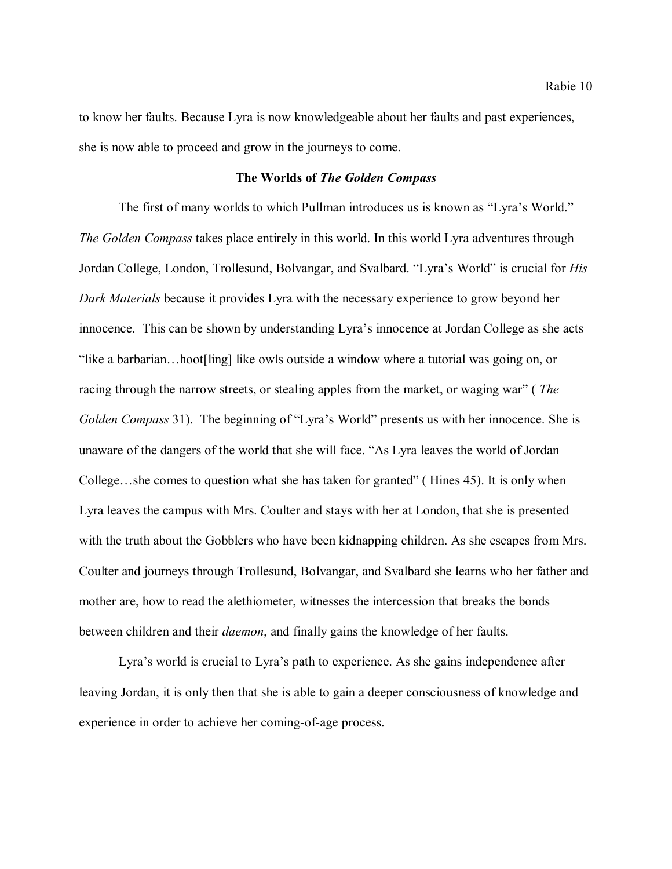to know her faults. Because Lyra is now knowledgeable about her faults and past experiences, she is now able to proceed and grow in the journeys to come.

# **The Worlds of** *The Golden Compass*

The first of many worlds to which Pullman introduces us is known as "Lyra's World." *The Golden Compass* takes place entirely in this world. In this world Lyra adventures through Jordan College, London, Trollesund, Bolvangar, and Svalbard. "Lyra's World" is crucial for *His Dark Materials* because it provides Lyra with the necessary experience to grow beyond her innocence. This can be shown by understanding Lyra's innocence at Jordan College as she acts "like a barbarian…hoot[ling] like owls outside a window where a tutorial was going on, or racing through the narrow streets, or stealing apples from the market, or waging war" ( *The Golden Compass* 31). The beginning of "Lyra's World" presents us with her innocence. She is unaware of the dangers of the world that she will face. "As Lyra leaves the world of Jordan College…she comes to question what she has taken for granted" ( Hines 45). It is only when Lyra leaves the campus with Mrs. Coulter and stays with her at London, that she is presented with the truth about the Gobblers who have been kidnapping children. As she escapes from Mrs. Coulter and journeys through Trollesund, Bolvangar, and Svalbard she learns who her father and mother are, how to read the alethiometer, witnesses the intercession that breaks the bonds between children and their *daemon*, and finally gains the knowledge of her faults.

Lyra's world is crucial to Lyra's path to experience. As she gains independence after leaving Jordan, it is only then that she is able to gain a deeper consciousness of knowledge and experience in order to achieve her coming-of-age process.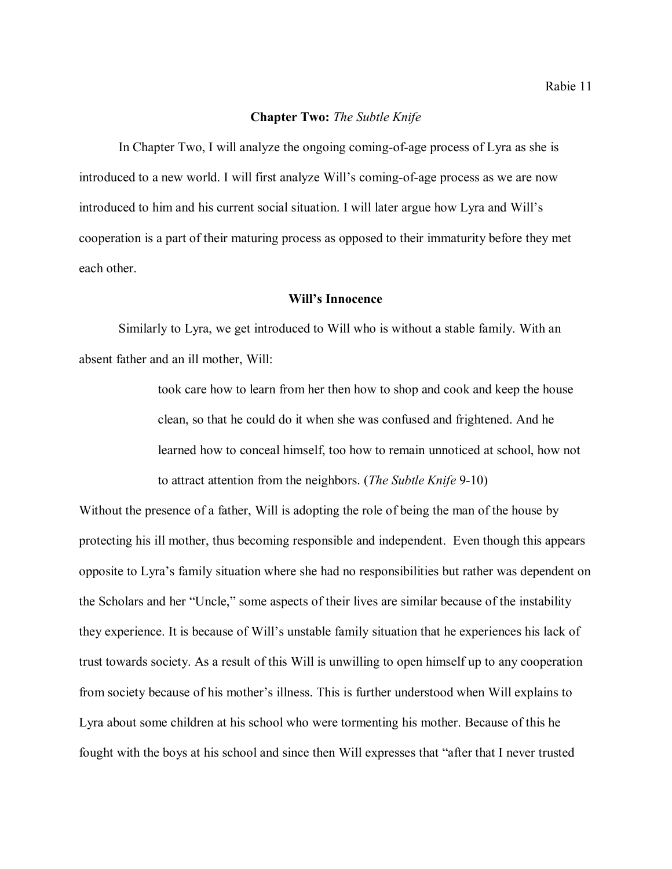## **Chapter Two:** *The Subtle Knife*

In Chapter Two, I will analyze the ongoing coming-of-age process of Lyra as she is introduced to a new world. I will first analyze Will's coming-of-age process as we are now introduced to him and his current social situation. I will later argue how Lyra and Will's cooperation is a part of their maturing process as opposed to their immaturity before they met each other.

# **Will's Innocence**

Similarly to Lyra, we get introduced to Will who is without a stable family. With an absent father and an ill mother, Will:

> took care how to learn from her then how to shop and cook and keep the house clean, so that he could do it when she was confused and frightened. And he learned how to conceal himself, too how to remain unnoticed at school, how not to attract attention from the neighbors. (*The Subtle Knife* 9-10)

Without the presence of a father, Will is adopting the role of being the man of the house by protecting his ill mother, thus becoming responsible and independent. Even though this appears opposite to Lyra's family situation where she had no responsibilities but rather was dependent on the Scholars and her "Uncle," some aspects of their lives are similar because of the instability they experience. It is because of Will's unstable family situation that he experiences his lack of trust towards society. As a result of this Will is unwilling to open himself up to any cooperation from society because of his mother's illness. This is further understood when Will explains to Lyra about some children at his school who were tormenting his mother. Because of this he fought with the boys at his school and since then Will expresses that "after that I never trusted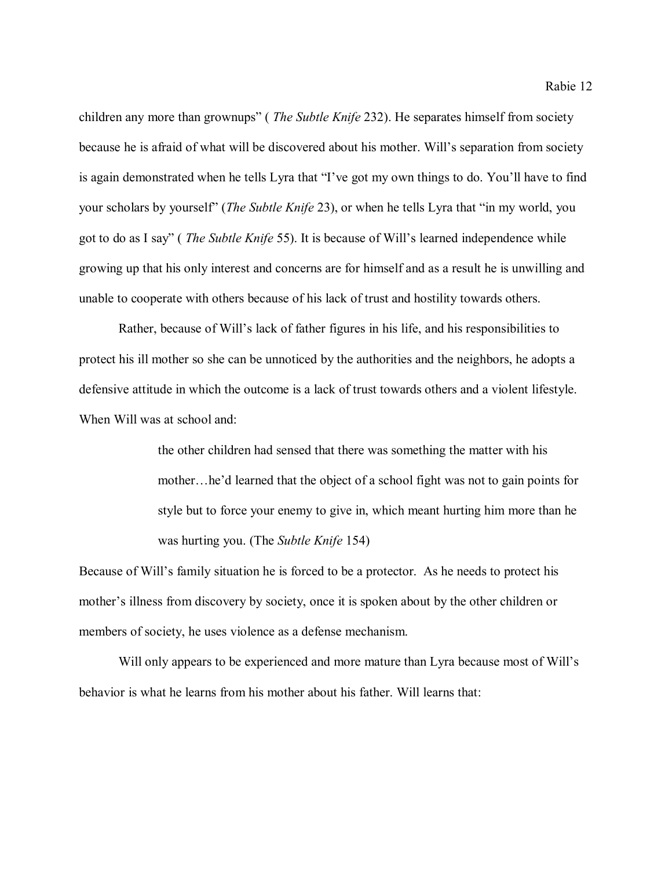children any more than grownups" ( *The Subtle Knife* 232). He separates himself from society because he is afraid of what will be discovered about his mother. Will's separation from society is again demonstrated when he tells Lyra that "I've got my own things to do. You'll have to find your scholars by yourself" (*The Subtle Knife* 23), or when he tells Lyra that "in my world, you got to do as I say" ( *The Subtle Knife* 55). It is because of Will's learned independence while growing up that his only interest and concerns are for himself and as a result he is unwilling and unable to cooperate with others because of his lack of trust and hostility towards others.

Rather, because of Will's lack of father figures in his life, and his responsibilities to protect his ill mother so she can be unnoticed by the authorities and the neighbors, he adopts a defensive attitude in which the outcome is a lack of trust towards others and a violent lifestyle. When Will was at school and:

> the other children had sensed that there was something the matter with his mother…he'd learned that the object of a school fight was not to gain points for style but to force your enemy to give in, which meant hurting him more than he was hurting you. (The *Subtle Knife* 154)

Because of Will's family situation he is forced to be a protector. As he needs to protect his mother's illness from discovery by society, once it is spoken about by the other children or members of society, he uses violence as a defense mechanism.

Will only appears to be experienced and more mature than Lyra because most of Will's behavior is what he learns from his mother about his father. Will learns that: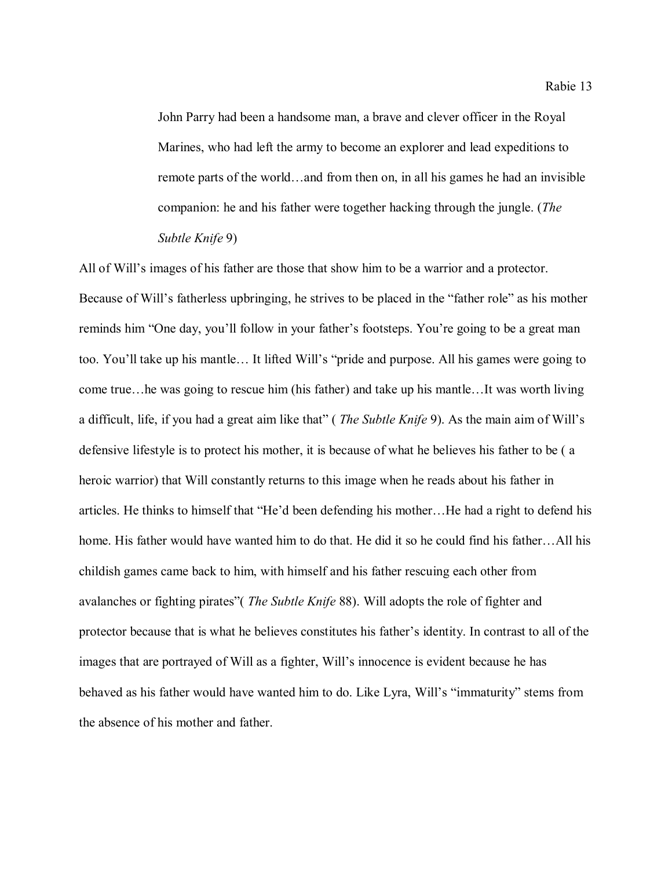John Parry had been a handsome man, a brave and clever officer in the Royal Marines, who had left the army to become an explorer and lead expeditions to remote parts of the world…and from then on, in all his games he had an invisible companion: he and his father were together hacking through the jungle. (*The Subtle Knife* 9)

All of Will's images of his father are those that show him to be a warrior and a protector. Because of Will's fatherless upbringing, he strives to be placed in the "father role" as his mother reminds him "One day, you'll follow in your father's footsteps. You're going to be a great man too. You'll take up his mantle… It lifted Will's "pride and purpose. All his games were going to come true…he was going to rescue him (his father) and take up his mantle…It was worth living a difficult, life, if you had a great aim like that" ( *The Subtle Knife* 9). As the main aim of Will's defensive lifestyle is to protect his mother, it is because of what he believes his father to be ( a heroic warrior) that Will constantly returns to this image when he reads about his father in articles. He thinks to himself that "He'd been defending his mother…He had a right to defend his home. His father would have wanted him to do that. He did it so he could find his father...All his childish games came back to him, with himself and his father rescuing each other from avalanches or fighting pirates"( *The Subtle Knife* 88). Will adopts the role of fighter and protector because that is what he believes constitutes his father's identity. In contrast to all of the images that are portrayed of Will as a fighter, Will's innocence is evident because he has behaved as his father would have wanted him to do. Like Lyra, Will's "immaturity" stems from the absence of his mother and father.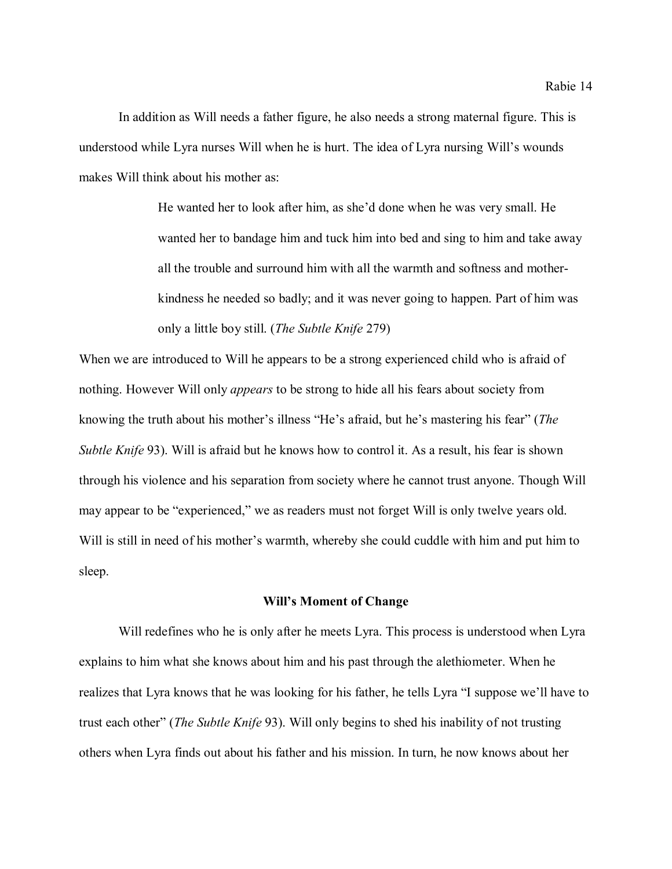In addition as Will needs a father figure, he also needs a strong maternal figure. This is understood while Lyra nurses Will when he is hurt. The idea of Lyra nursing Will's wounds makes Will think about his mother as:

> He wanted her to look after him, as she'd done when he was very small. He wanted her to bandage him and tuck him into bed and sing to him and take away all the trouble and surround him with all the warmth and softness and motherkindness he needed so badly; and it was never going to happen. Part of him was only a little boy still. (*The Subtle Knife* 279)

When we are introduced to Will he appears to be a strong experienced child who is afraid of nothing. However Will only *appears* to be strong to hide all his fears about society from knowing the truth about his mother's illness "He's afraid, but he's mastering his fear" (*The Subtle Knife* 93). Will is afraid but he knows how to control it. As a result, his fear is shown through his violence and his separation from society where he cannot trust anyone. Though Will may appear to be "experienced," we as readers must not forget Will is only twelve years old. Will is still in need of his mother's warmth, whereby she could cuddle with him and put him to sleep.

#### **Will's Moment of Change**

Will redefines who he is only after he meets Lyra. This process is understood when Lyra explains to him what she knows about him and his past through the alethiometer. When he realizes that Lyra knows that he was looking for his father, he tells Lyra "I suppose we'll have to trust each other" (*The Subtle Knife* 93). Will only begins to shed his inability of not trusting others when Lyra finds out about his father and his mission. In turn, he now knows about her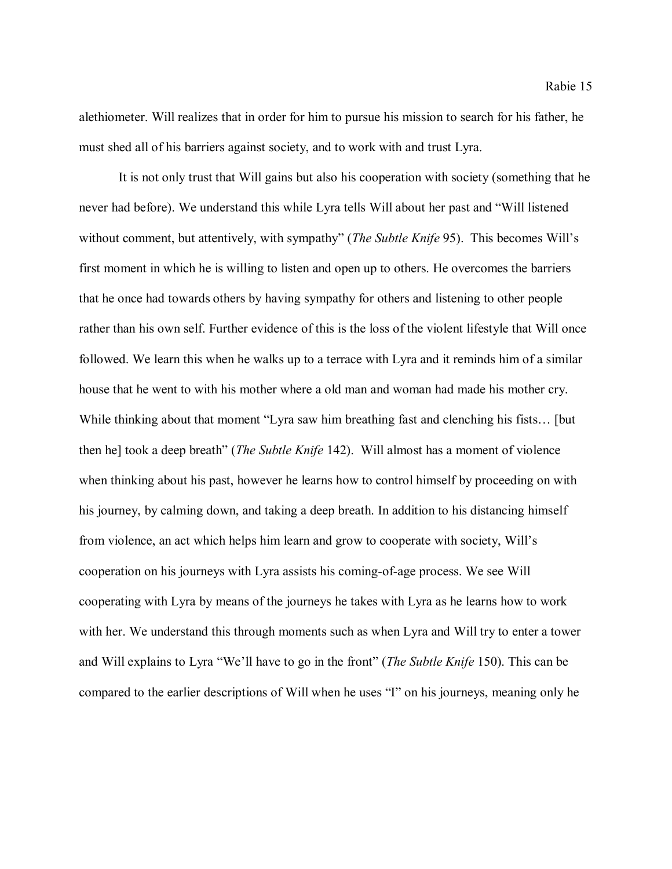alethiometer. Will realizes that in order for him to pursue his mission to search for his father, he must shed all of his barriers against society, and to work with and trust Lyra.

It is not only trust that Will gains but also his cooperation with society (something that he never had before). We understand this while Lyra tells Will about her past and "Will listened without comment, but attentively, with sympathy" (*The Subtle Knife* 95). This becomes Will's first moment in which he is willing to listen and open up to others. He overcomes the barriers that he once had towards others by having sympathy for others and listening to other people rather than his own self. Further evidence of this is the loss of the violent lifestyle that Will once followed. We learn this when he walks up to a terrace with Lyra and it reminds him of a similar house that he went to with his mother where a old man and woman had made his mother cry. While thinking about that moment "Lyra saw him breathing fast and clenching his fists… [but then he] took a deep breath" (*The Subtle Knife* 142). Will almost has a moment of violence when thinking about his past, however he learns how to control himself by proceeding on with his journey, by calming down, and taking a deep breath. In addition to his distancing himself from violence, an act which helps him learn and grow to cooperate with society, Will's cooperation on his journeys with Lyra assists his coming-of-age process. We see Will cooperating with Lyra by means of the journeys he takes with Lyra as he learns how to work with her. We understand this through moments such as when Lyra and Will try to enter a tower and Will explains to Lyra "We'll have to go in the front" (*The Subtle Knife* 150). This can be compared to the earlier descriptions of Will when he uses "I" on his journeys, meaning only he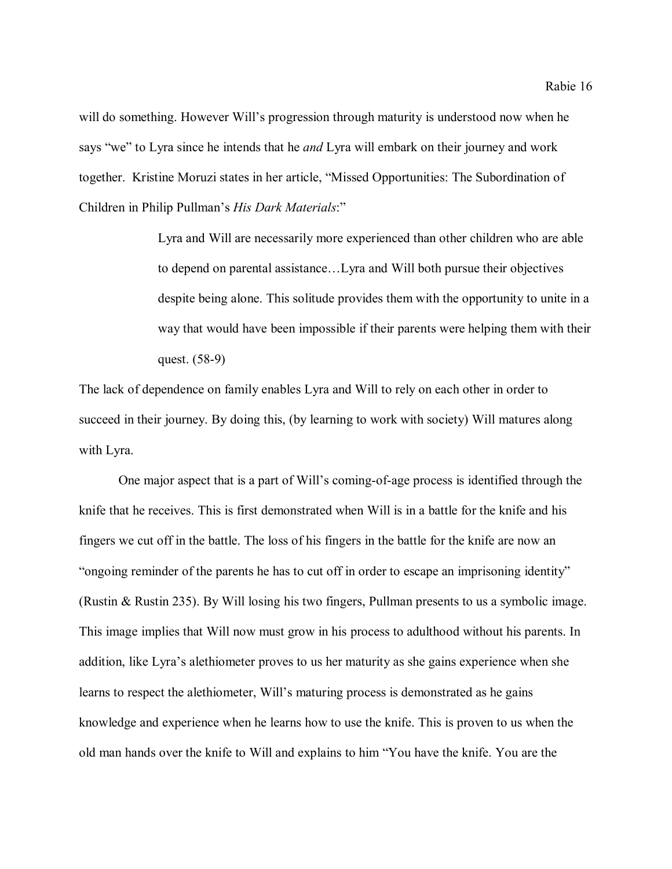will do something. However Will's progression through maturity is understood now when he says "we" to Lyra since he intends that he *and* Lyra will embark on their journey and work together. Kristine Moruzi states in her article, "Missed Opportunities: The Subordination of Children in Philip Pullman's *His Dark Materials*:"

> Lyra and Will are necessarily more experienced than other children who are able to depend on parental assistance…Lyra and Will both pursue their objectives despite being alone. This solitude provides them with the opportunity to unite in a way that would have been impossible if their parents were helping them with their quest. (58-9)

The lack of dependence on family enables Lyra and Will to rely on each other in order to succeed in their journey. By doing this, (by learning to work with society) Will matures along with Lyra.

One major aspect that is a part of Will's coming-of-age process is identified through the knife that he receives. This is first demonstrated when Will is in a battle for the knife and his fingers we cut off in the battle. The loss of his fingers in the battle for the knife are now an "ongoing reminder of the parents he has to cut off in order to escape an imprisoning identity" (Rustin & Rustin 235). By Will losing his two fingers, Pullman presents to us a symbolic image. This image implies that Will now must grow in his process to adulthood without his parents. In addition, like Lyra's alethiometer proves to us her maturity as she gains experience when she learns to respect the alethiometer, Will's maturing process is demonstrated as he gains knowledge and experience when he learns how to use the knife. This is proven to us when the old man hands over the knife to Will and explains to him "You have the knife. You are the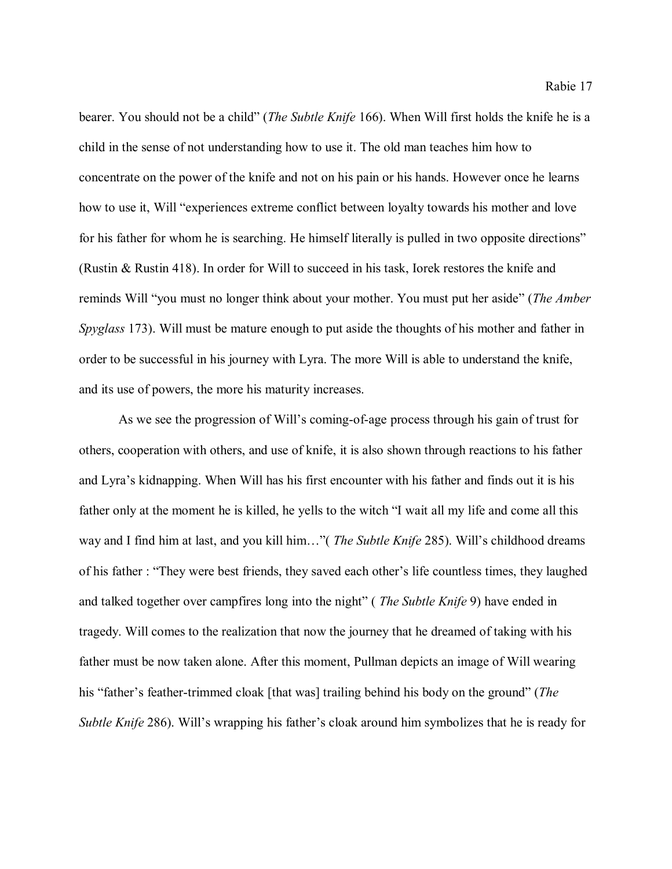bearer. You should not be a child" (*The Subtle Knife* 166). When Will first holds the knife he is a child in the sense of not understanding how to use it. The old man teaches him how to concentrate on the power of the knife and not on his pain or his hands. However once he learns how to use it, Will "experiences extreme conflict between loyalty towards his mother and love for his father for whom he is searching. He himself literally is pulled in two opposite directions" (Rustin & Rustin 418). In order for Will to succeed in his task, Iorek restores the knife and reminds Will "you must no longer think about your mother. You must put her aside" (*The Amber Spyglass* 173). Will must be mature enough to put aside the thoughts of his mother and father in order to be successful in his journey with Lyra. The more Will is able to understand the knife, and its use of powers, the more his maturity increases.

As we see the progression of Will's coming-of-age process through his gain of trust for others, cooperation with others, and use of knife, it is also shown through reactions to his father and Lyra's kidnapping. When Will has his first encounter with his father and finds out it is his father only at the moment he is killed, he yells to the witch "I wait all my life and come all this way and I find him at last, and you kill him…"( *The Subtle Knife* 285). Will's childhood dreams of his father : "They were best friends, they saved each other's life countless times, they laughed and talked together over campfires long into the night" ( *The Subtle Knife* 9) have ended in tragedy. Will comes to the realization that now the journey that he dreamed of taking with his father must be now taken alone. After this moment, Pullman depicts an image of Will wearing his "father's feather-trimmed cloak [that was] trailing behind his body on the ground" (*The Subtle Knife* 286). Will's wrapping his father's cloak around him symbolizes that he is ready for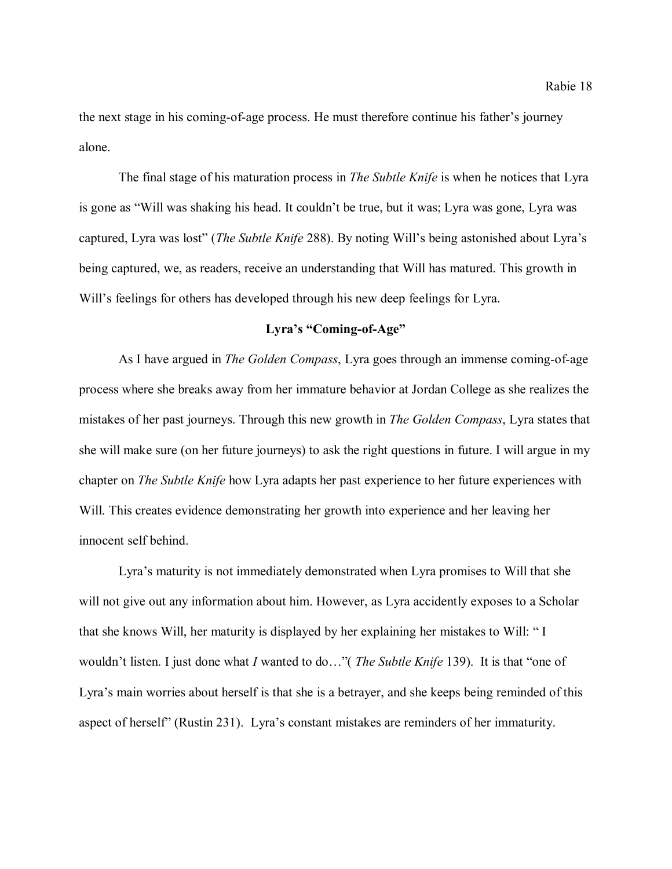the next stage in his coming-of-age process. He must therefore continue his father's journey alone.

The final stage of his maturation process in *The Subtle Knife* is when he notices that Lyra is gone as "Will was shaking his head. It couldn't be true, but it was; Lyra was gone, Lyra was captured, Lyra was lost" (*The Subtle Knife* 288). By noting Will's being astonished about Lyra's being captured, we, as readers, receive an understanding that Will has matured. This growth in Will's feelings for others has developed through his new deep feelings for Lyra.

# **Lyra's "Coming-of-Age"**

As I have argued in *The Golden Compass*, Lyra goes through an immense coming-of-age process where she breaks away from her immature behavior at Jordan College as she realizes the mistakes of her past journeys. Through this new growth in *The Golden Compass*, Lyra states that she will make sure (on her future journeys) to ask the right questions in future. I will argue in my chapter on *The Subtle Knife* how Lyra adapts her past experience to her future experiences with Will. This creates evidence demonstrating her growth into experience and her leaving her innocent self behind.

Lyra's maturity is not immediately demonstrated when Lyra promises to Will that she will not give out any information about him. However, as Lyra accidently exposes to a Scholar that she knows Will, her maturity is displayed by her explaining her mistakes to Will: " I wouldn't listen. I just done what *I* wanted to do…"( *The Subtle Knife* 139). It is that "one of Lyra's main worries about herself is that she is a betrayer, and she keeps being reminded of this aspect of herself" (Rustin 231). Lyra's constant mistakes are reminders of her immaturity.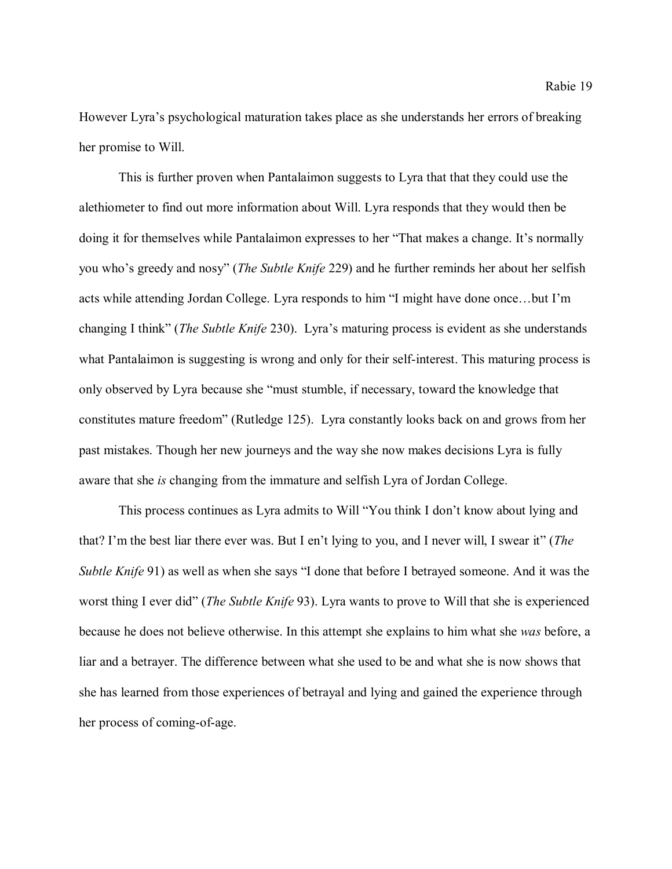However Lyra's psychological maturation takes place as she understands her errors of breaking her promise to Will.

This is further proven when Pantalaimon suggests to Lyra that that they could use the alethiometer to find out more information about Will. Lyra responds that they would then be doing it for themselves while Pantalaimon expresses to her "That makes a change. It's normally you who's greedy and nosy" (*The Subtle Knife* 229) and he further reminds her about her selfish acts while attending Jordan College. Lyra responds to him "I might have done once…but I'm changing I think" (*The Subtle Knife* 230). Lyra's maturing process is evident as she understands what Pantalaimon is suggesting is wrong and only for their self-interest. This maturing process is only observed by Lyra because she "must stumble, if necessary, toward the knowledge that constitutes mature freedom" (Rutledge 125). Lyra constantly looks back on and grows from her past mistakes. Though her new journeys and the way she now makes decisions Lyra is fully aware that she *is* changing from the immature and selfish Lyra of Jordan College.

This process continues as Lyra admits to Will "You think I don't know about lying and that? I'm the best liar there ever was. But I en't lying to you, and I never will, I swear it" (*The Subtle Knife* 91) as well as when she says "I done that before I betrayed someone. And it was the worst thing I ever did" (*The Subtle Knife* 93). Lyra wants to prove to Will that she is experienced because he does not believe otherwise. In this attempt she explains to him what she *was* before, a liar and a betrayer. The difference between what she used to be and what she is now shows that she has learned from those experiences of betrayal and lying and gained the experience through her process of coming-of-age.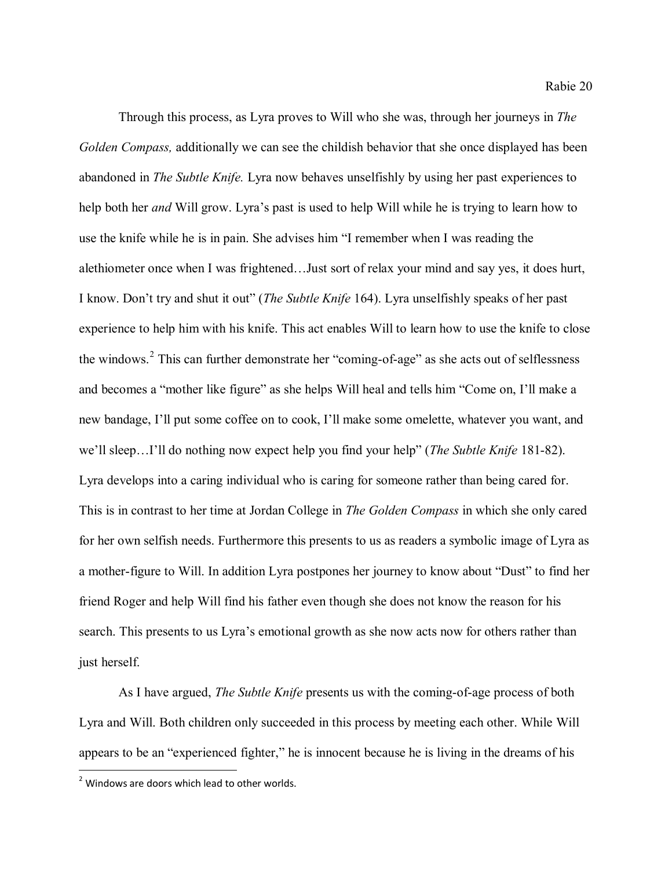Through this process, as Lyra proves to Will who she was, through her journeys in *The Golden Compass,* additionally we can see the childish behavior that she once displayed has been abandoned in *The Subtle Knife.* Lyra now behaves unselfishly by using her past experiences to help both her *and* Will grow. Lyra's past is used to help Will while he is trying to learn how to use the knife while he is in pain. She advises him "I remember when I was reading the alethiometer once when I was frightened…Just sort of relax your mind and say yes, it does hurt, I know. Don't try and shut it out" (*The Subtle Knife* 164). Lyra unselfishly speaks of her past experience to help him with his knife. This act enables Will to learn how to use the knife to close the windows.<sup>[2](#page-20-0)</sup> This can further demonstrate her "coming-of-age" as she acts out of selflessness and becomes a "mother like figure" as she helps Will heal and tells him "Come on, I'll make a new bandage, I'll put some coffee on to cook, I'll make some omelette, whatever you want, and we'll sleep…I'll do nothing now expect help you find your help" (*The Subtle Knife* 181-82). Lyra develops into a caring individual who is caring for someone rather than being cared for. This is in contrast to her time at Jordan College in *The Golden Compass* in which she only cared for her own selfish needs. Furthermore this presents to us as readers a symbolic image of Lyra as a mother-figure to Will. In addition Lyra postpones her journey to know about "Dust" to find her friend Roger and help Will find his father even though she does not know the reason for his search. This presents to us Lyra's emotional growth as she now acts now for others rather than just herself.

As I have argued, *The Subtle Knife* presents us with the coming-of-age process of both Lyra and Will. Both children only succeeded in this process by meeting each other. While Will appears to be an "experienced fighter," he is innocent because he is living in the dreams of his

<span id="page-20-0"></span> $2$  Windows are doors which lead to other worlds.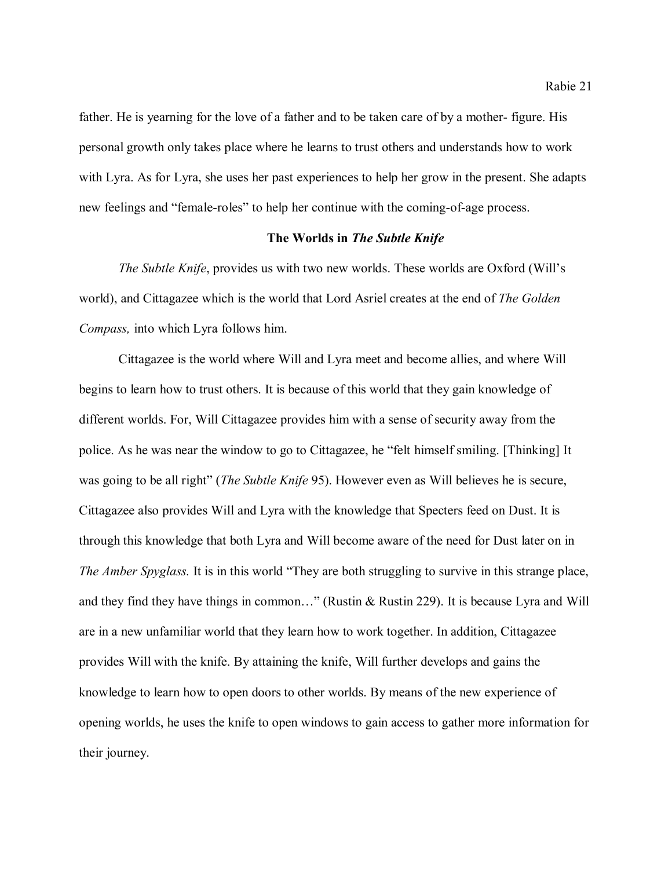father. He is yearning for the love of a father and to be taken care of by a mother- figure. His personal growth only takes place where he learns to trust others and understands how to work with Lyra. As for Lyra, she uses her past experiences to help her grow in the present. She adapts new feelings and "female-roles" to help her continue with the coming-of-age process.

# **The Worlds in** *The Subtle Knife*

*The Subtle Knife*, provides us with two new worlds. These worlds are Oxford (Will's world), and Cittagazee which is the world that Lord Asriel creates at the end of *The Golden Compass,* into which Lyra follows him.

Cittagazee is the world where Will and Lyra meet and become allies, and where Will begins to learn how to trust others. It is because of this world that they gain knowledge of different worlds. For, Will Cittagazee provides him with a sense of security away from the police. As he was near the window to go to Cittagazee, he "felt himself smiling. [Thinking] It was going to be all right" (*The Subtle Knife* 95). However even as Will believes he is secure, Cittagazee also provides Will and Lyra with the knowledge that Specters feed on Dust. It is through this knowledge that both Lyra and Will become aware of the need for Dust later on in *The Amber Spyglass.* It is in this world "They are both struggling to survive in this strange place, and they find they have things in common…" (Rustin & Rustin 229). It is because Lyra and Will are in a new unfamiliar world that they learn how to work together. In addition, Cittagazee provides Will with the knife. By attaining the knife, Will further develops and gains the knowledge to learn how to open doors to other worlds. By means of the new experience of opening worlds, he uses the knife to open windows to gain access to gather more information for their journey.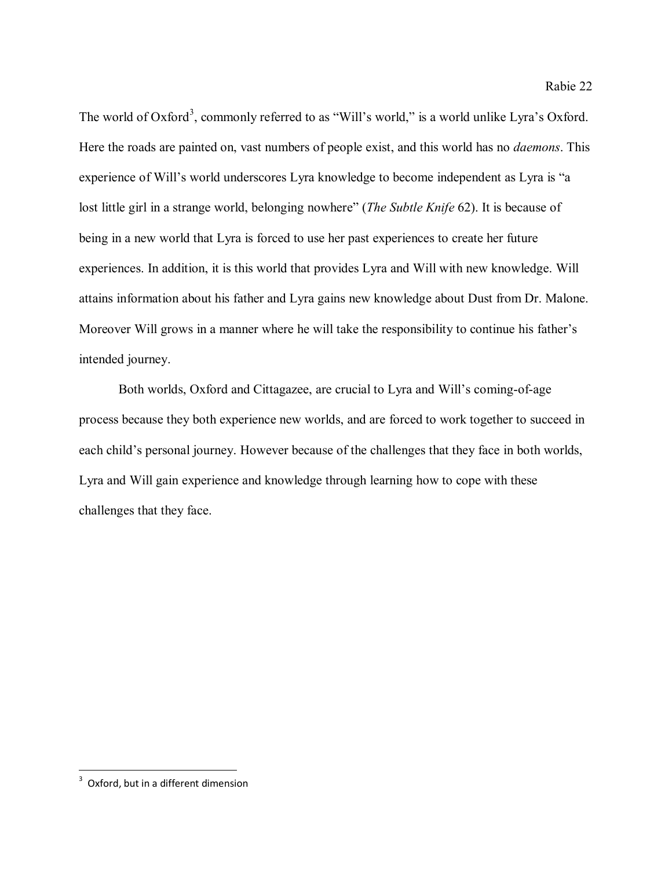The world of Oxford<sup>[3](#page-22-0)</sup>, commonly referred to as "Will's world," is a world unlike Lyra's Oxford. Here the roads are painted on, vast numbers of people exist, and this world has no *daemons*. This experience of Will's world underscores Lyra knowledge to become independent as Lyra is "a lost little girl in a strange world, belonging nowhere" (*The Subtle Knife* 62). It is because of being in a new world that Lyra is forced to use her past experiences to create her future experiences. In addition, it is this world that provides Lyra and Will with new knowledge. Will attains information about his father and Lyra gains new knowledge about Dust from Dr. Malone. Moreover Will grows in a manner where he will take the responsibility to continue his father's intended journey.

Both worlds, Oxford and Cittagazee, are crucial to Lyra and Will's coming-of-age process because they both experience new worlds, and are forced to work together to succeed in each child's personal journey. However because of the challenges that they face in both worlds, Lyra and Will gain experience and knowledge through learning how to cope with these challenges that they face.

<span id="page-22-0"></span><sup>-&</sup>lt;br>3 <sup>3</sup> Oxford, but in a different dimension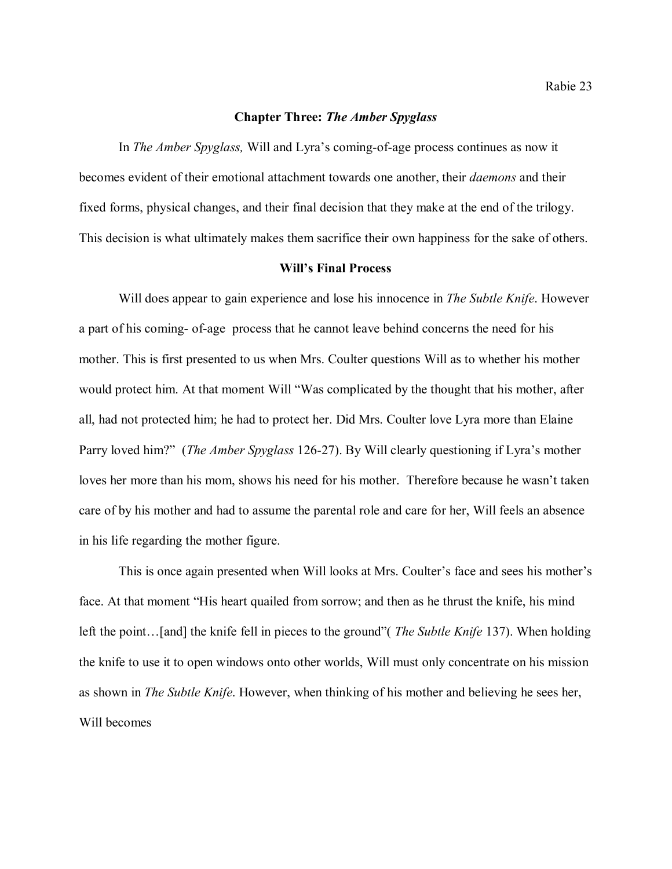# **Chapter Three:** *The Amber Spyglass*

In *The Amber Spyglass,* Will and Lyra's coming-of-age process continues as now it becomes evident of their emotional attachment towards one another, their *daemons* and their fixed forms, physical changes, and their final decision that they make at the end of the trilogy. This decision is what ultimately makes them sacrifice their own happiness for the sake of others.

#### **Will's Final Process**

Will does appear to gain experience and lose his innocence in *The Subtle Knife*. However a part of his coming- of-age process that he cannot leave behind concerns the need for his mother. This is first presented to us when Mrs. Coulter questions Will as to whether his mother would protect him. At that moment Will "Was complicated by the thought that his mother, after all, had not protected him; he had to protect her. Did Mrs. Coulter love Lyra more than Elaine Parry loved him?" (*The Amber Spyglass* 126-27). By Will clearly questioning if Lyra's mother loves her more than his mom, shows his need for his mother. Therefore because he wasn't taken care of by his mother and had to assume the parental role and care for her, Will feels an absence in his life regarding the mother figure.

This is once again presented when Will looks at Mrs. Coulter's face and sees his mother's face. At that moment "His heart quailed from sorrow; and then as he thrust the knife, his mind left the point…[and] the knife fell in pieces to the ground"( *The Subtle Knife* 137). When holding the knife to use it to open windows onto other worlds, Will must only concentrate on his mission as shown in *The Subtle Knife*. However, when thinking of his mother and believing he sees her, Will becomes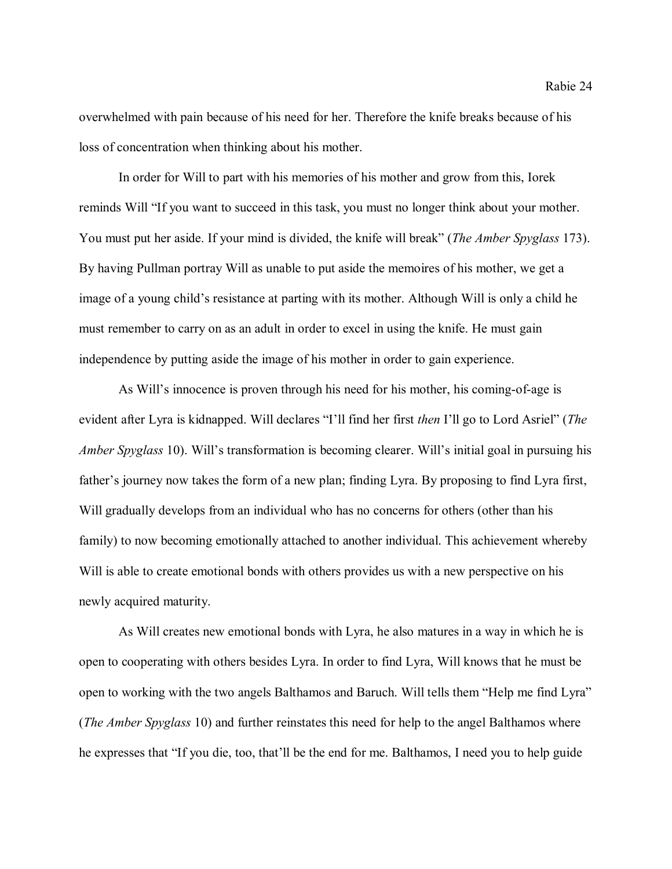overwhelmed with pain because of his need for her. Therefore the knife breaks because of his loss of concentration when thinking about his mother.

In order for Will to part with his memories of his mother and grow from this, Iorek reminds Will "If you want to succeed in this task, you must no longer think about your mother. You must put her aside. If your mind is divided, the knife will break" (*The Amber Spyglass* 173). By having Pullman portray Will as unable to put aside the memoires of his mother, we get a image of a young child's resistance at parting with its mother. Although Will is only a child he must remember to carry on as an adult in order to excel in using the knife. He must gain independence by putting aside the image of his mother in order to gain experience.

As Will's innocence is proven through his need for his mother, his coming-of-age is evident after Lyra is kidnapped. Will declares "I'll find her first *then* I'll go to Lord Asriel" (*The Amber Spyglass* 10). Will's transformation is becoming clearer. Will's initial goal in pursuing his father's journey now takes the form of a new plan; finding Lyra. By proposing to find Lyra first, Will gradually develops from an individual who has no concerns for others (other than his family) to now becoming emotionally attached to another individual. This achievement whereby Will is able to create emotional bonds with others provides us with a new perspective on his newly acquired maturity.

As Will creates new emotional bonds with Lyra, he also matures in a way in which he is open to cooperating with others besides Lyra. In order to find Lyra, Will knows that he must be open to working with the two angels Balthamos and Baruch. Will tells them "Help me find Lyra" (*The Amber Spyglass* 10) and further reinstates this need for help to the angel Balthamos where he expresses that "If you die, too, that'll be the end for me. Balthamos, I need you to help guide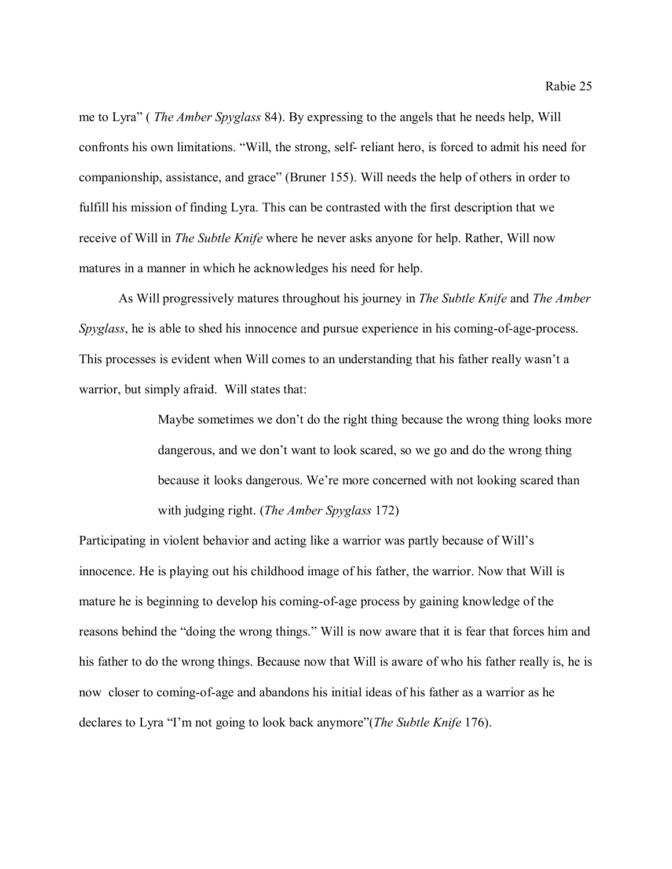me to Lyra" ( *The Amber Spyglass* 84). By expressing to the angels that he needs help, Will confronts his own limitations. "Will, the strong, self- reliant hero, is forced to admit his need for companionship, assistance, and grace" (Bruner 155). Will needs the help of others in order to fulfill his mission of finding Lyra. This can be contrasted with the first description that we receive of Will in *The Subtle Knife* where he never asks anyone for help. Rather, Will now matures in a manner in which he acknowledges his need for help.

As Will progressively matures throughout his journey in *The Subtle Knife* and *The Amber Spyglass*, he is able to shed his innocence and pursue experience in his coming-of-age-process. This processes is evident when Will comes to an understanding that his father really wasn't a warrior, but simply afraid. Will states that:

> Maybe sometimes we don't do the right thing because the wrong thing looks more dangerous, and we don't want to look scared, so we go and do the wrong thing because it looks dangerous. We're more concerned with not looking scared than with judging right. (*The Amber Spyglass* 172)

Participating in violent behavior and acting like a warrior was partly because of Will's innocence. He is playing out his childhood image of his father, the warrior. Now that Will is mature he is beginning to develop his coming-of-age process by gaining knowledge of the reasons behind the "doing the wrong things." Will is now aware that it is fear that forces him and his father to do the wrong things. Because now that Will is aware of who his father really is, he is now closer to coming-of-age and abandons his initial ideas of his father as a warrior as he declares to Lyra "I'm not going to look back anymore"(*The Subtle Knife* 176).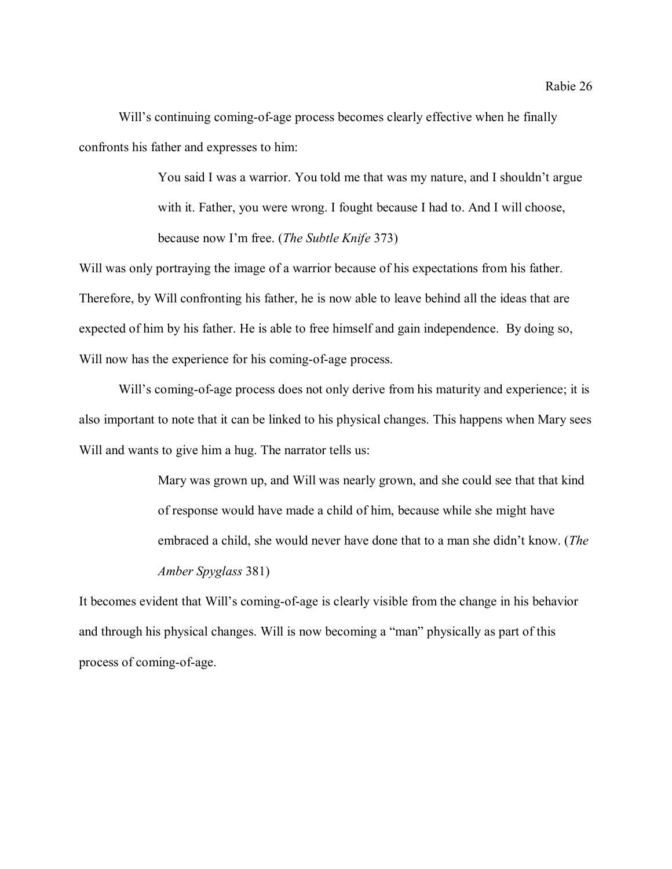Will's continuing coming-of-age process becomes clearly effective when he finally confronts his father and expresses to him:

> You said I was a warrior. You told me that was my nature, and I shouldn't argue with it. Father, you were wrong. I fought because I had to. And I will choose, because now I'm free. (*The Subtle Knife* 373)

Will was only portraying the image of a warrior because of his expectations from his father. Therefore, by Will confronting his father, he is now able to leave behind all the ideas that are expected of him by his father. He is able to free himself and gain independence. By doing so, Will now has the experience for his coming-of-age process.

Will's coming-of-age process does not only derive from his maturity and experience; it is also important to note that it can be linked to his physical changes. This happens when Mary sees Will and wants to give him a hug. The narrator tells us:

> Mary was grown up, and Will was nearly grown, and she could see that that kind of response would have made a child of him, because while she might have embraced a child, she would never have done that to a man she didn't know. (*The Amber Spyglass* 381)

It becomes evident that Will's coming-of-age is clearly visible from the change in his behavior and through his physical changes. Will is now becoming a "man" physically as part of this process of coming-of-age.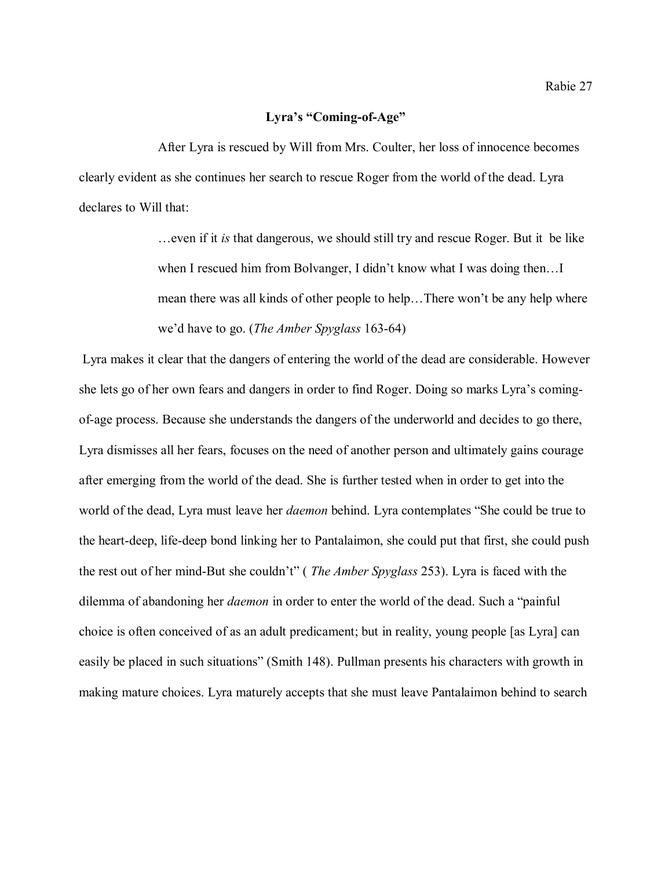## **Lyra's "Coming-of-Age"**

After Lyra is rescued by Will from Mrs. Coulter, her loss of innocence becomes clearly evident as she continues her search to rescue Roger from the world of the dead. Lyra declares to Will that:

> …even if it *is* that dangerous, we should still try and rescue Roger. But it be like when I rescued him from Bolvanger, I didn't know what I was doing then...I mean there was all kinds of other people to help…There won't be any help where we'd have to go. (*The Amber Spyglass* 163-64)

Lyra makes it clear that the dangers of entering the world of the dead are considerable. However she lets go of her own fears and dangers in order to find Roger. Doing so marks Lyra's comingof-age process. Because she understands the dangers of the underworld and decides to go there, Lyra dismisses all her fears, focuses on the need of another person and ultimately gains courage after emerging from the world of the dead. She is further tested when in order to get into the world of the dead, Lyra must leave her *daemon* behind. Lyra contemplates "She could be true to the heart-deep, life-deep bond linking her to Pantalaimon, she could put that first, she could push the rest out of her mind-But she couldn't" ( *The Amber Spyglass* 253). Lyra is faced with the dilemma of abandoning her *daemon* in order to enter the world of the dead. Such a "painful choice is often conceived of as an adult predicament; but in reality, young people [as Lyra] can easily be placed in such situations" (Smith 148). Pullman presents his characters with growth in making mature choices. Lyra maturely accepts that she must leave Pantalaimon behind to search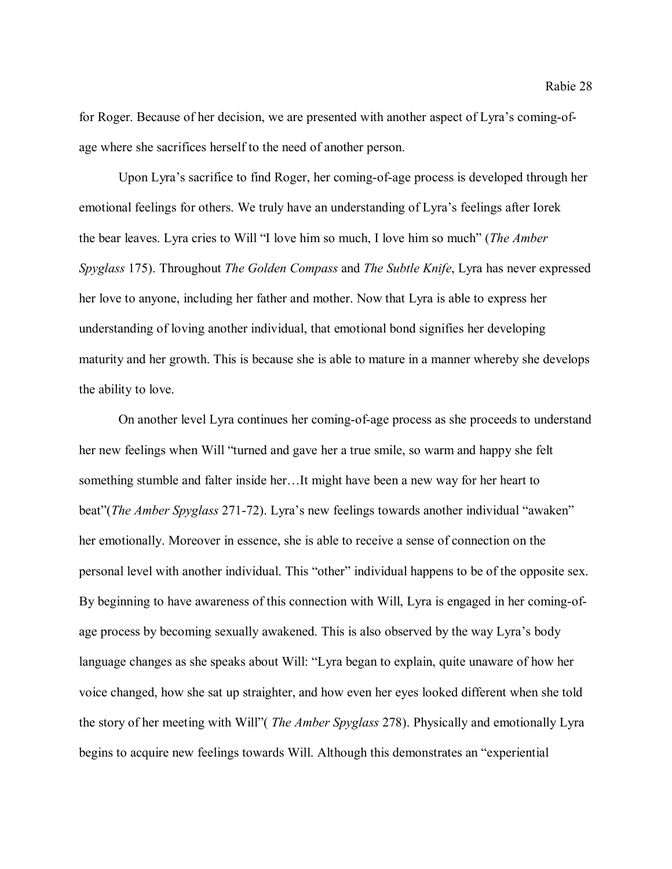for Roger. Because of her decision, we are presented with another aspect of Lyra's coming-ofage where she sacrifices herself to the need of another person.

Upon Lyra's sacrifice to find Roger, her coming-of-age process is developed through her emotional feelings for others. We truly have an understanding of Lyra's feelings after Iorek the bear leaves. Lyra cries to Will "I love him so much, I love him so much" (*The Amber Spyglass* 175). Throughout *The Golden Compass* and *The Subtle Knife*, Lyra has never expressed her love to anyone, including her father and mother. Now that Lyra is able to express her understanding of loving another individual, that emotional bond signifies her developing maturity and her growth. This is because she is able to mature in a manner whereby she develops the ability to love.

On another level Lyra continues her coming-of-age process as she proceeds to understand her new feelings when Will "turned and gave her a true smile, so warm and happy she felt something stumble and falter inside her…It might have been a new way for her heart to beat"(*The Amber Spyglass* 271-72). Lyra's new feelings towards another individual "awaken" her emotionally. Moreover in essence, she is able to receive a sense of connection on the personal level with another individual. This "other" individual happens to be of the opposite sex. By beginning to have awareness of this connection with Will, Lyra is engaged in her coming-ofage process by becoming sexually awakened. This is also observed by the way Lyra's body language changes as she speaks about Will: "Lyra began to explain, quite unaware of how her voice changed, how she sat up straighter, and how even her eyes looked different when she told the story of her meeting with Will"( *The Amber Spyglass* 278). Physically and emotionally Lyra begins to acquire new feelings towards Will. Although this demonstrates an "experiential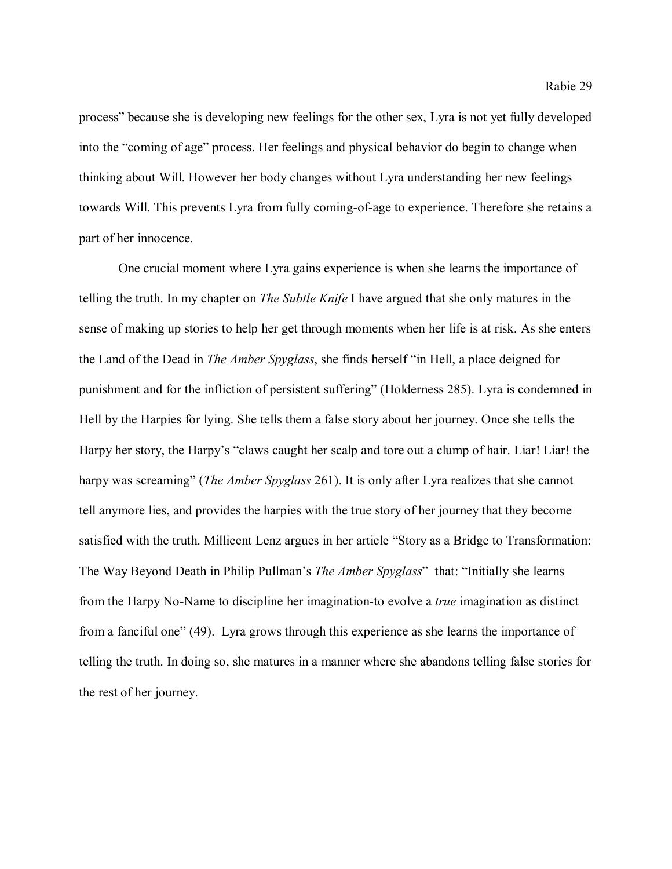process" because she is developing new feelings for the other sex, Lyra is not yet fully developed into the "coming of age" process. Her feelings and physical behavior do begin to change when thinking about Will. However her body changes without Lyra understanding her new feelings towards Will. This prevents Lyra from fully coming-of-age to experience. Therefore she retains a part of her innocence.

One crucial moment where Lyra gains experience is when she learns the importance of telling the truth. In my chapter on *The Subtle Knife* I have argued that she only matures in the sense of making up stories to help her get through moments when her life is at risk. As she enters the Land of the Dead in *The Amber Spyglass*, she finds herself "in Hell, a place deigned for punishment and for the infliction of persistent suffering" (Holderness 285). Lyra is condemned in Hell by the Harpies for lying. She tells them a false story about her journey. Once she tells the Harpy her story, the Harpy's "claws caught her scalp and tore out a clump of hair. Liar! Liar! the harpy was screaming" (*The Amber Spyglass* 261). It is only after Lyra realizes that she cannot tell anymore lies, and provides the harpies with the true story of her journey that they become satisfied with the truth. Millicent Lenz argues in her article "Story as a Bridge to Transformation: The Way Beyond Death in Philip Pullman's *The Amber Spyglass*" that: "Initially she learns from the Harpy No-Name to discipline her imagination-to evolve a *true* imagination as distinct from a fanciful one" (49). Lyra grows through this experience as she learns the importance of telling the truth. In doing so, she matures in a manner where she abandons telling false stories for the rest of her journey.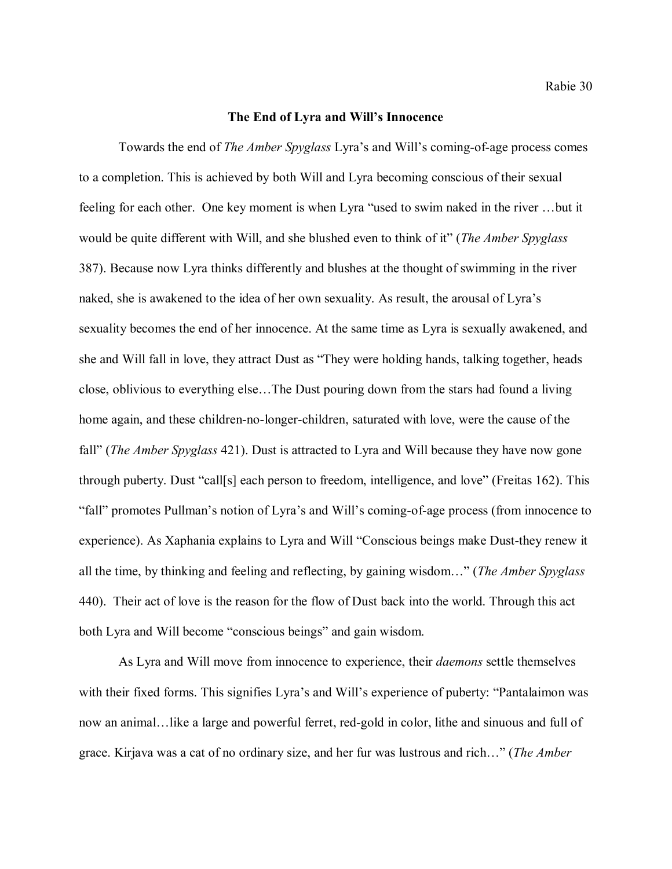#### **The End of Lyra and Will's Innocence**

Towards the end of *The Amber Spyglass* Lyra's and Will's coming-of-age process comes to a completion. This is achieved by both Will and Lyra becoming conscious of their sexual feeling for each other. One key moment is when Lyra "used to swim naked in the river …but it would be quite different with Will, and she blushed even to think of it" (*The Amber Spyglass* 387). Because now Lyra thinks differently and blushes at the thought of swimming in the river naked, she is awakened to the idea of her own sexuality. As result, the arousal of Lyra's sexuality becomes the end of her innocence. At the same time as Lyra is sexually awakened, and she and Will fall in love, they attract Dust as "They were holding hands, talking together, heads close, oblivious to everything else…The Dust pouring down from the stars had found a living home again, and these children-no-longer-children, saturated with love, were the cause of the fall" (*The Amber Spyglass* 421). Dust is attracted to Lyra and Will because they have now gone through puberty. Dust "call[s] each person to freedom, intelligence, and love" (Freitas 162). This "fall" promotes Pullman's notion of Lyra's and Will's coming-of-age process (from innocence to experience). As Xaphania explains to Lyra and Will "Conscious beings make Dust-they renew it all the time, by thinking and feeling and reflecting, by gaining wisdom…" (*The Amber Spyglass* 440). Their act of love is the reason for the flow of Dust back into the world. Through this act both Lyra and Will become "conscious beings" and gain wisdom.

As Lyra and Will move from innocence to experience, their *daemons* settle themselves with their fixed forms. This signifies Lyra's and Will's experience of puberty: "Pantalaimon was now an animal…like a large and powerful ferret, red-gold in color, lithe and sinuous and full of grace. Kirjava was a cat of no ordinary size, and her fur was lustrous and rich…" (*The Amber*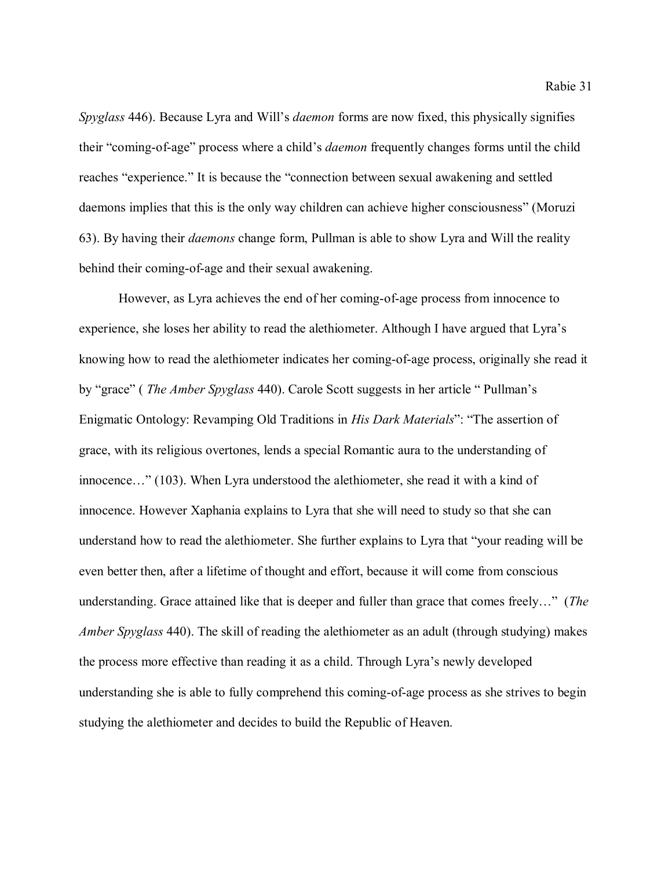*Spyglass* 446). Because Lyra and Will's *daemon* forms are now fixed, this physically signifies their "coming-of-age" process where a child's *daemon* frequently changes forms until the child reaches "experience." It is because the "connection between sexual awakening and settled daemons implies that this is the only way children can achieve higher consciousness" (Moruzi 63). By having their *daemons* change form, Pullman is able to show Lyra and Will the reality behind their coming-of-age and their sexual awakening.

However, as Lyra achieves the end of her coming-of-age process from innocence to experience, she loses her ability to read the alethiometer. Although I have argued that Lyra's knowing how to read the alethiometer indicates her coming-of-age process, originally she read it by "grace" ( *The Amber Spyglass* 440). Carole Scott suggests in her article " Pullman's Enigmatic Ontology: Revamping Old Traditions in *His Dark Materials*": "The assertion of grace, with its religious overtones, lends a special Romantic aura to the understanding of innocence…" (103). When Lyra understood the alethiometer, she read it with a kind of innocence. However Xaphania explains to Lyra that she will need to study so that she can understand how to read the alethiometer. She further explains to Lyra that "your reading will be even better then, after a lifetime of thought and effort, because it will come from conscious understanding. Grace attained like that is deeper and fuller than grace that comes freely…" (*The Amber Spyglass* 440). The skill of reading the alethiometer as an adult (through studying) makes the process more effective than reading it as a child. Through Lyra's newly developed understanding she is able to fully comprehend this coming-of-age process as she strives to begin studying the alethiometer and decides to build the Republic of Heaven.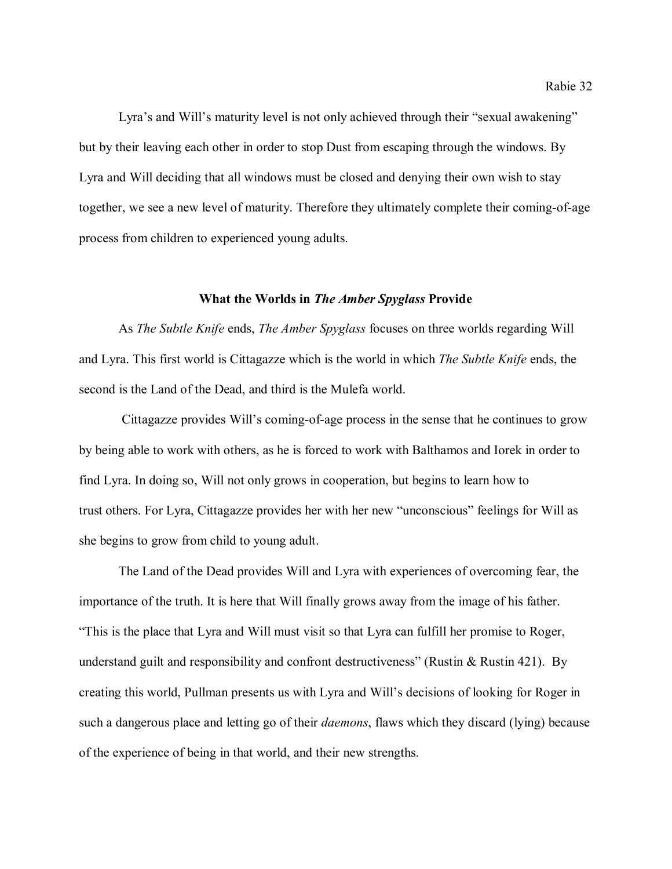Lyra's and Will's maturity level is not only achieved through their "sexual awakening" but by their leaving each other in order to stop Dust from escaping through the windows. By Lyra and Will deciding that all windows must be closed and denying their own wish to stay together, we see a new level of maturity. Therefore they ultimately complete their coming-of-age process from children to experienced young adults.

#### **What the Worlds in** *The Amber Spyglass* **Provide**

As *The Subtle Knife* ends, *The Amber Spyglass* focuses on three worlds regarding Will and Lyra. This first world is Cittagazze which is the world in which *The Subtle Knife* ends, the second is the Land of the Dead, and third is the Mulefa world.

Cittagazze provides Will's coming-of-age process in the sense that he continues to grow by being able to work with others, as he is forced to work with Balthamos and Iorek in order to find Lyra. In doing so, Will not only grows in cooperation, but begins to learn how to trust others. For Lyra, Cittagazze provides her with her new "unconscious" feelings for Will as she begins to grow from child to young adult.

The Land of the Dead provides Will and Lyra with experiences of overcoming fear, the importance of the truth. It is here that Will finally grows away from the image of his father. "This is the place that Lyra and Will must visit so that Lyra can fulfill her promise to Roger, understand guilt and responsibility and confront destructiveness" (Rustin & Rustin 421). By creating this world, Pullman presents us with Lyra and Will's decisions of looking for Roger in such a dangerous place and letting go of their *daemons*, flaws which they discard (lying) because of the experience of being in that world, and their new strengths.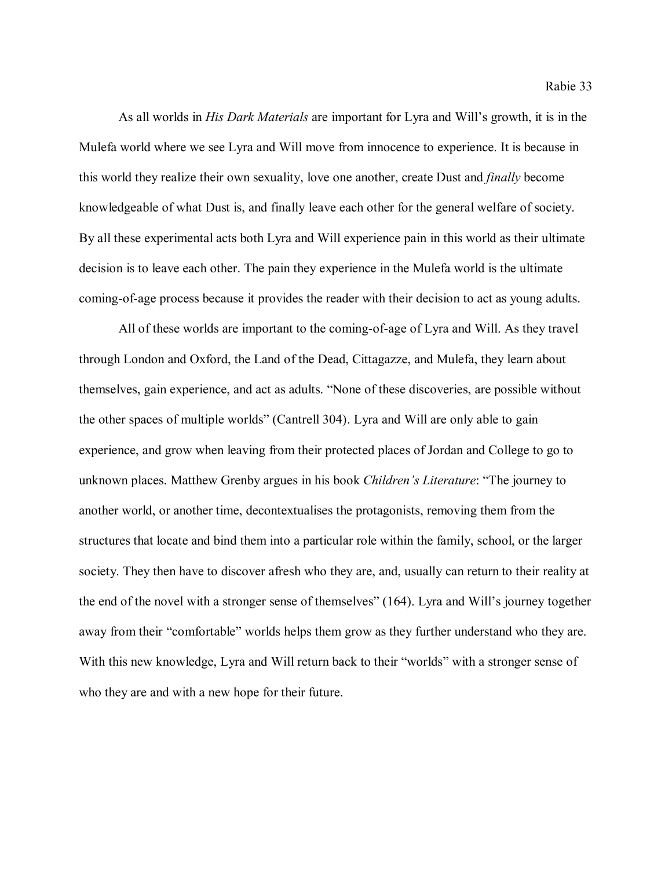Rabie 33

As all worlds in *His Dark Materials* are important for Lyra and Will's growth, it is in the Mulefa world where we see Lyra and Will move from innocence to experience. It is because in this world they realize their own sexuality, love one another, create Dust and *finally* become knowledgeable of what Dust is, and finally leave each other for the general welfare of society. By all these experimental acts both Lyra and Will experience pain in this world as their ultimate decision is to leave each other. The pain they experience in the Mulefa world is the ultimate coming-of-age process because it provides the reader with their decision to act as young adults.

All of these worlds are important to the coming-of-age of Lyra and Will. As they travel through London and Oxford, the Land of the Dead, Cittagazze, and Mulefa, they learn about themselves, gain experience, and act as adults. "None of these discoveries, are possible without the other spaces of multiple worlds" (Cantrell 304). Lyra and Will are only able to gain experience, and grow when leaving from their protected places of Jordan and College to go to unknown places. Matthew Grenby argues in his book *Children's Literature*: "The journey to another world, or another time, decontextualises the protagonists, removing them from the structures that locate and bind them into a particular role within the family, school, or the larger society. They then have to discover afresh who they are, and, usually can return to their reality at the end of the novel with a stronger sense of themselves" (164). Lyra and Will's journey together away from their "comfortable" worlds helps them grow as they further understand who they are. With this new knowledge, Lyra and Will return back to their "worlds" with a stronger sense of who they are and with a new hope for their future.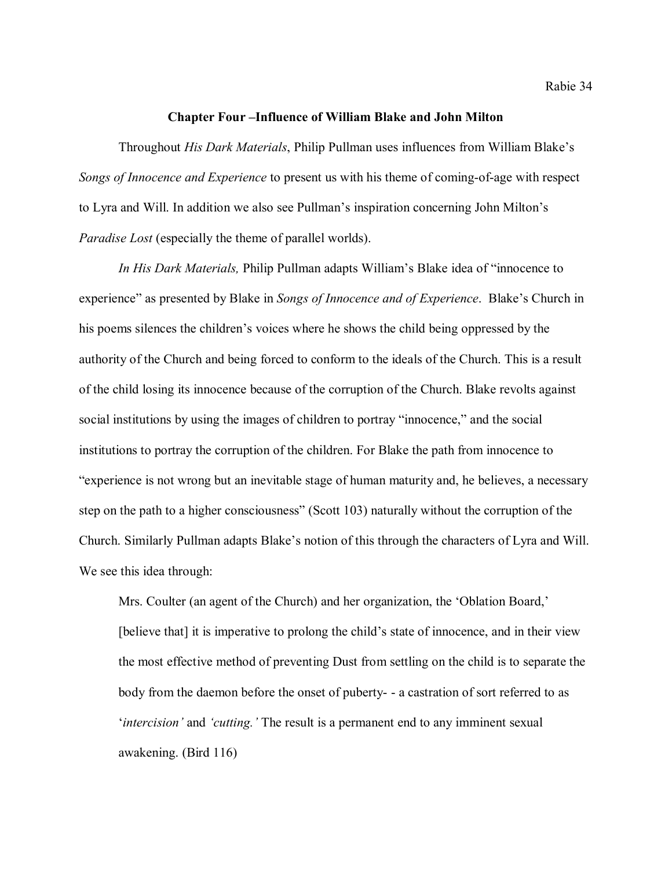#### **Chapter Four –Influence of William Blake and John Milton**

Throughout *His Dark Materials*, Philip Pullman uses influences from William Blake's *Songs of Innocence and Experience* to present us with his theme of coming-of-age with respect to Lyra and Will. In addition we also see Pullman's inspiration concerning John Milton's *Paradise Lost* (especially the theme of parallel worlds).

*In His Dark Materials,* Philip Pullman adapts William's Blake idea of "innocence to experience" as presented by Blake in *Songs of Innocence and of Experience*. Blake's Church in his poems silences the children's voices where he shows the child being oppressed by the authority of the Church and being forced to conform to the ideals of the Church. This is a result of the child losing its innocence because of the corruption of the Church. Blake revolts against social institutions by using the images of children to portray "innocence," and the social institutions to portray the corruption of the children. For Blake the path from innocence to "experience is not wrong but an inevitable stage of human maturity and, he believes, a necessary step on the path to a higher consciousness" (Scott 103) naturally without the corruption of the Church. Similarly Pullman adapts Blake's notion of this through the characters of Lyra and Will. We see this idea through:

Mrs. Coulter (an agent of the Church) and her organization, the 'Oblation Board,' [believe that] it is imperative to prolong the child's state of innocence, and in their view the most effective method of preventing Dust from settling on the child is to separate the body from the daemon before the onset of puberty- - a castration of sort referred to as '*intercision'* and *'cutting.'* The result is a permanent end to any imminent sexual awakening. (Bird 116)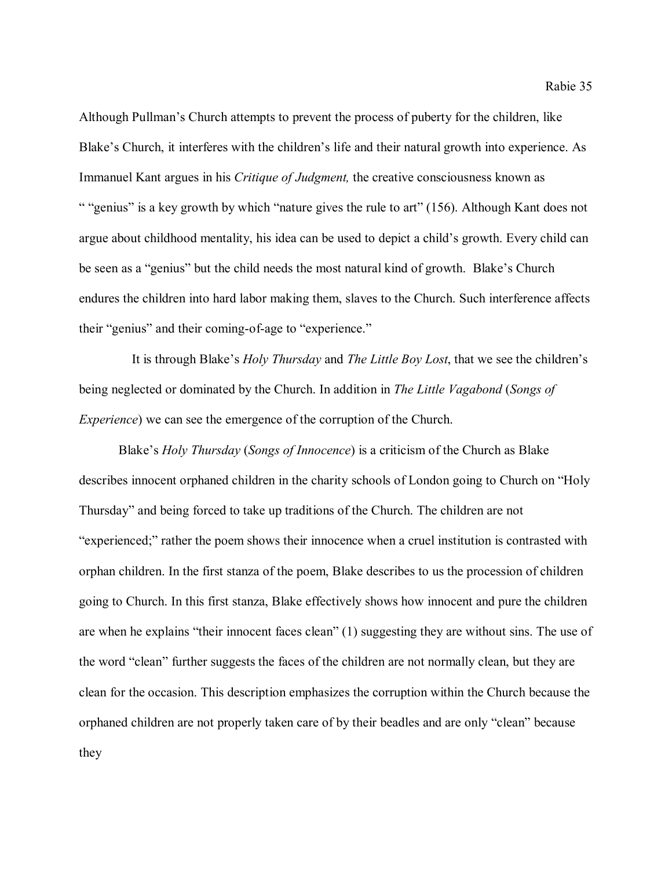Although Pullman's Church attempts to prevent the process of puberty for the children, like Blake's Church, it interferes with the children's life and their natural growth into experience. As Immanuel Kant argues in his *Critique of Judgment,* the creative consciousness known as " "genius" is a key growth by which "nature gives the rule to art" (156). Although Kant does not argue about childhood mentality, his idea can be used to depict a child's growth. Every child can be seen as a "genius" but the child needs the most natural kind of growth. Blake's Church endures the children into hard labor making them, slaves to the Church. Such interference affects their "genius" and their coming-of-age to "experience."

 It is through Blake's *Holy Thursday* and *The Little Boy Lost*, that we see the children's being neglected or dominated by the Church. In addition in *The Little Vagabond* (*Songs of Experience*) we can see the emergence of the corruption of the Church.

Blake's *Holy Thursday* (*Songs of Innocence*) is a criticism of the Church as Blake describes innocent orphaned children in the charity schools of London going to Church on "Holy Thursday" and being forced to take up traditions of the Church. The children are not "experienced;" rather the poem shows their innocence when a cruel institution is contrasted with orphan children. In the first stanza of the poem, Blake describes to us the procession of children going to Church. In this first stanza, Blake effectively shows how innocent and pure the children are when he explains "their innocent faces clean" (1) suggesting they are without sins. The use of the word "clean" further suggests the faces of the children are not normally clean, but they are clean for the occasion. This description emphasizes the corruption within the Church because the orphaned children are not properly taken care of by their beadles and are only "clean" because they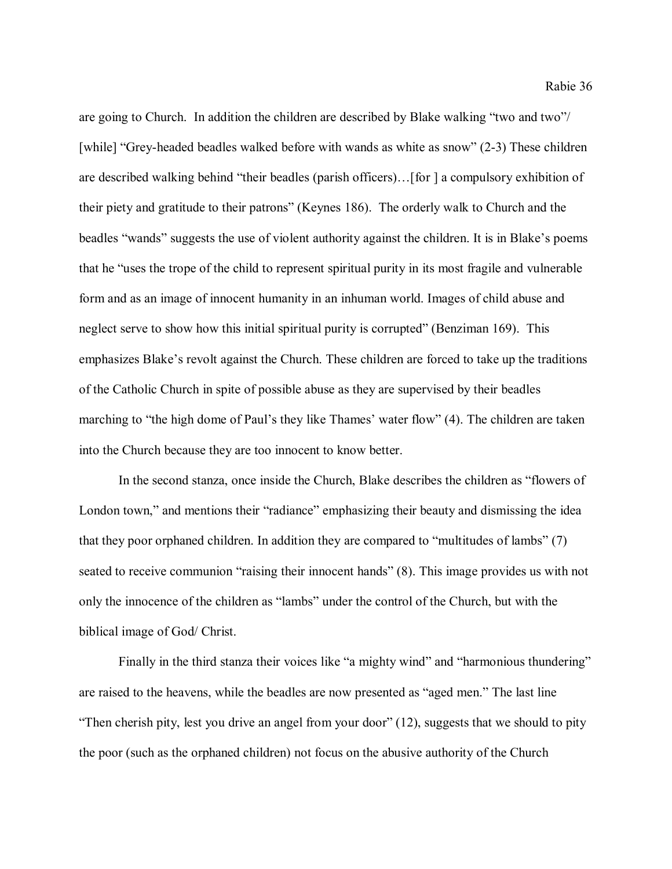are going to Church. In addition the children are described by Blake walking "two and two"/ [while] "Grey-headed beadles walked before with wands as white as snow" (2-3) These children are described walking behind "their beadles (parish officers)…[for ] a compulsory exhibition of their piety and gratitude to their patrons" (Keynes 186). The orderly walk to Church and the beadles "wands" suggests the use of violent authority against the children. It is in Blake's poems that he "uses the trope of the child to represent spiritual purity in its most fragile and vulnerable form and as an image of innocent humanity in an inhuman world. Images of child abuse and neglect serve to show how this initial spiritual purity is corrupted" (Benziman 169). This emphasizes Blake's revolt against the Church. These children are forced to take up the traditions of the Catholic Church in spite of possible abuse as they are supervised by their beadles marching to "the high dome of Paul's they like Thames' water flow" (4). The children are taken into the Church because they are too innocent to know better.

In the second stanza, once inside the Church, Blake describes the children as "flowers of London town," and mentions their "radiance" emphasizing their beauty and dismissing the idea that they poor orphaned children. In addition they are compared to "multitudes of lambs" (7) seated to receive communion "raising their innocent hands" (8). This image provides us with not only the innocence of the children as "lambs" under the control of the Church, but with the biblical image of God/ Christ.

Finally in the third stanza their voices like "a mighty wind" and "harmonious thundering" are raised to the heavens, while the beadles are now presented as "aged men." The last line "Then cherish pity, lest you drive an angel from your door" (12), suggests that we should to pity the poor (such as the orphaned children) not focus on the abusive authority of the Church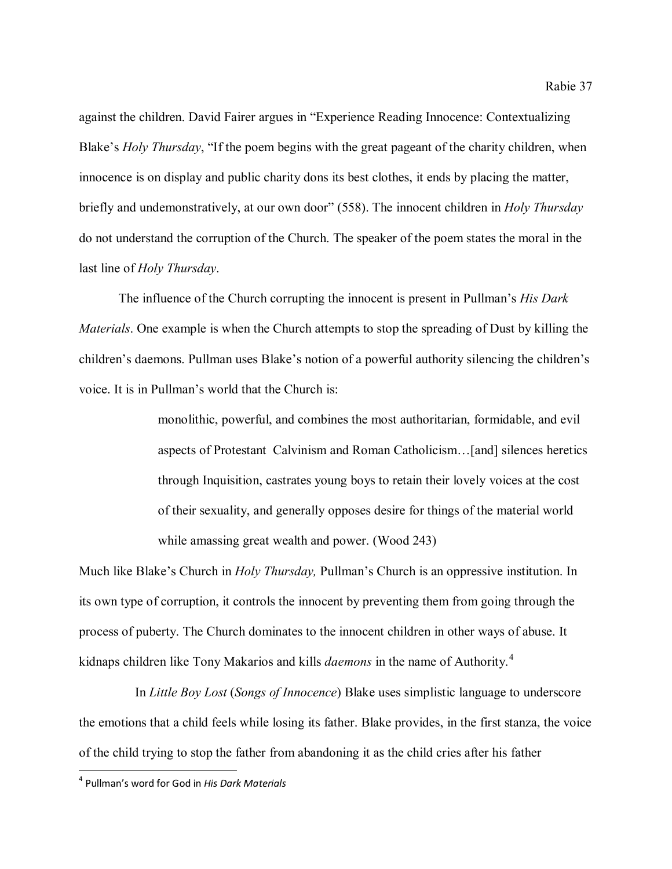against the children. David Fairer argues in "Experience Reading Innocence: Contextualizing Blake's *Holy Thursday*, "If the poem begins with the great pageant of the charity children, when innocence is on display and public charity dons its best clothes, it ends by placing the matter, briefly and undemonstratively, at our own door" (558). The innocent children in *Holy Thursday*  do not understand the corruption of the Church. The speaker of the poem states the moral in the last line of *Holy Thursday*.

The influence of the Church corrupting the innocent is present in Pullman's *His Dark Materials*. One example is when the Church attempts to stop the spreading of Dust by killing the children's daemons. Pullman uses Blake's notion of a powerful authority silencing the children's voice. It is in Pullman's world that the Church is:

> monolithic, powerful, and combines the most authoritarian, formidable, and evil aspects of Protestant Calvinism and Roman Catholicism…[and] silences heretics through Inquisition, castrates young boys to retain their lovely voices at the cost of their sexuality, and generally opposes desire for things of the material world while amassing great wealth and power. (Wood 243)

Much like Blake's Church in *Holy Thursday,* Pullman's Church is an oppressive institution. In its own type of corruption, it controls the innocent by preventing them from going through the process of puberty. The Church dominates to the innocent children in other ways of abuse. It kidnaps children like Tony Makarios and kills *daemons* in the name of Authority. [4](#page-37-0)

 In *Little Boy Lost* (*Songs of Innocence*) Blake uses simplistic language to underscore the emotions that a child feels while losing its father. Blake provides, in the first stanza, the voice of the child trying to stop the father from abandoning it as the child cries after his father

<span id="page-37-0"></span> <sup>4</sup> Pullman's word for God in *His Dark Materials*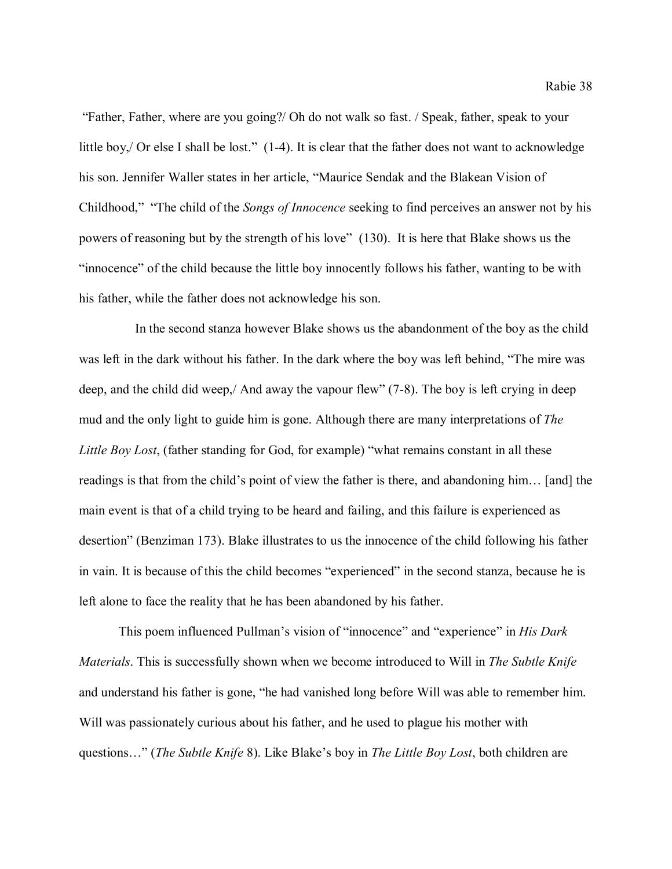"Father, Father, where are you going?/ Oh do not walk so fast. / Speak, father, speak to your little boy, Or else I shall be lost." (1-4). It is clear that the father does not want to acknowledge his son. Jennifer Waller states in her article, "Maurice Sendak and the Blakean Vision of Childhood," "The child of the *Songs of Innocence* seeking to find perceives an answer not by his powers of reasoning but by the strength of his love" (130). It is here that Blake shows us the "innocence" of the child because the little boy innocently follows his father, wanting to be with his father, while the father does not acknowledge his son.

 In the second stanza however Blake shows us the abandonment of the boy as the child was left in the dark without his father. In the dark where the boy was left behind, "The mire was deep, and the child did weep,/ And away the vapour flew" (7-8). The boy is left crying in deep mud and the only light to guide him is gone. Although there are many interpretations of *The Little Boy Lost*, (father standing for God, for example) "what remains constant in all these readings is that from the child's point of view the father is there, and abandoning him… [and] the main event is that of a child trying to be heard and failing, and this failure is experienced as desertion" (Benziman 173). Blake illustrates to us the innocence of the child following his father in vain. It is because of this the child becomes "experienced" in the second stanza, because he is left alone to face the reality that he has been abandoned by his father.

This poem influenced Pullman's vision of "innocence" and "experience" in *His Dark Materials*. This is successfully shown when we become introduced to Will in *The Subtle Knife* and understand his father is gone, "he had vanished long before Will was able to remember him. Will was passionately curious about his father, and he used to plague his mother with questions…" (*The Subtle Knife* 8). Like Blake's boy in *The Little Boy Lost*, both children are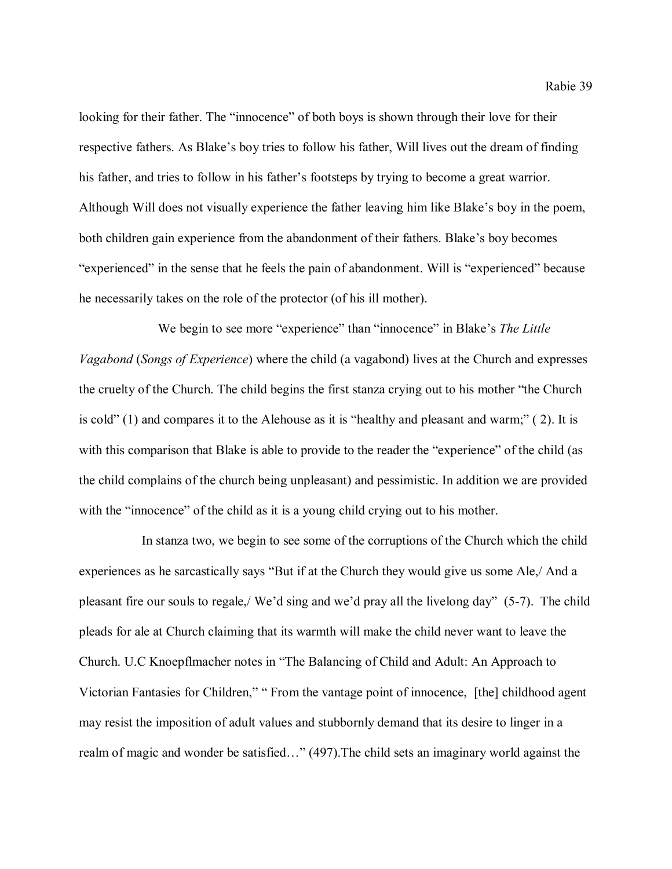looking for their father. The "innocence" of both boys is shown through their love for their respective fathers. As Blake's boy tries to follow his father, Will lives out the dream of finding his father, and tries to follow in his father's footsteps by trying to become a great warrior. Although Will does not visually experience the father leaving him like Blake's boy in the poem, both children gain experience from the abandonment of their fathers. Blake's boy becomes "experienced" in the sense that he feels the pain of abandonment. Will is "experienced" because he necessarily takes on the role of the protector (of his ill mother).

We begin to see more "experience" than "innocence" in Blake's *The Little Vagabond* (*Songs of Experience*) where the child (a vagabond) lives at the Church and expresses the cruelty of the Church. The child begins the first stanza crying out to his mother "the Church is cold" (1) and compares it to the Alehouse as it is "healthy and pleasant and warm;" ( 2). It is with this comparison that Blake is able to provide to the reader the "experience" of the child (as the child complains of the church being unpleasant) and pessimistic. In addition we are provided with the "innocence" of the child as it is a young child crying out to his mother.

 In stanza two, we begin to see some of the corruptions of the Church which the child experiences as he sarcastically says "But if at the Church they would give us some Ale,/ And a pleasant fire our souls to regale,/ We'd sing and we'd pray all the livelong day" (5-7). The child pleads for ale at Church claiming that its warmth will make the child never want to leave the Church. U.C Knoepflmacher notes in "The Balancing of Child and Adult: An Approach to Victorian Fantasies for Children," " From the vantage point of innocence, [the] childhood agent may resist the imposition of adult values and stubbornly demand that its desire to linger in a realm of magic and wonder be satisfied…" (497).The child sets an imaginary world against the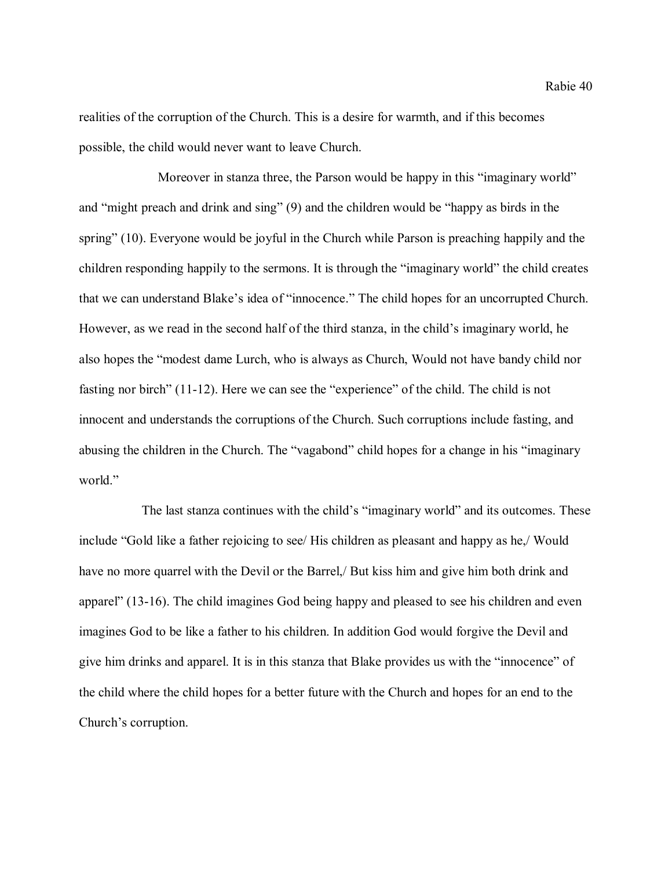Rabie 40

realities of the corruption of the Church. This is a desire for warmth, and if this becomes possible, the child would never want to leave Church.

Moreover in stanza three, the Parson would be happy in this "imaginary world" and "might preach and drink and sing" (9) and the children would be "happy as birds in the spring" (10). Everyone would be joyful in the Church while Parson is preaching happily and the children responding happily to the sermons. It is through the "imaginary world" the child creates that we can understand Blake's idea of "innocence." The child hopes for an uncorrupted Church. However, as we read in the second half of the third stanza, in the child's imaginary world, he also hopes the "modest dame Lurch, who is always as Church, Would not have bandy child nor fasting nor birch" (11-12). Here we can see the "experience" of the child. The child is not innocent and understands the corruptions of the Church. Such corruptions include fasting, and abusing the children in the Church. The "vagabond" child hopes for a change in his "imaginary world."

 The last stanza continues with the child's "imaginary world" and its outcomes. These include "Gold like a father rejoicing to see/ His children as pleasant and happy as he,/ Would have no more quarrel with the Devil or the Barrel, But kiss him and give him both drink and apparel" (13-16). The child imagines God being happy and pleased to see his children and even imagines God to be like a father to his children. In addition God would forgive the Devil and give him drinks and apparel. It is in this stanza that Blake provides us with the "innocence" of the child where the child hopes for a better future with the Church and hopes for an end to the Church's corruption.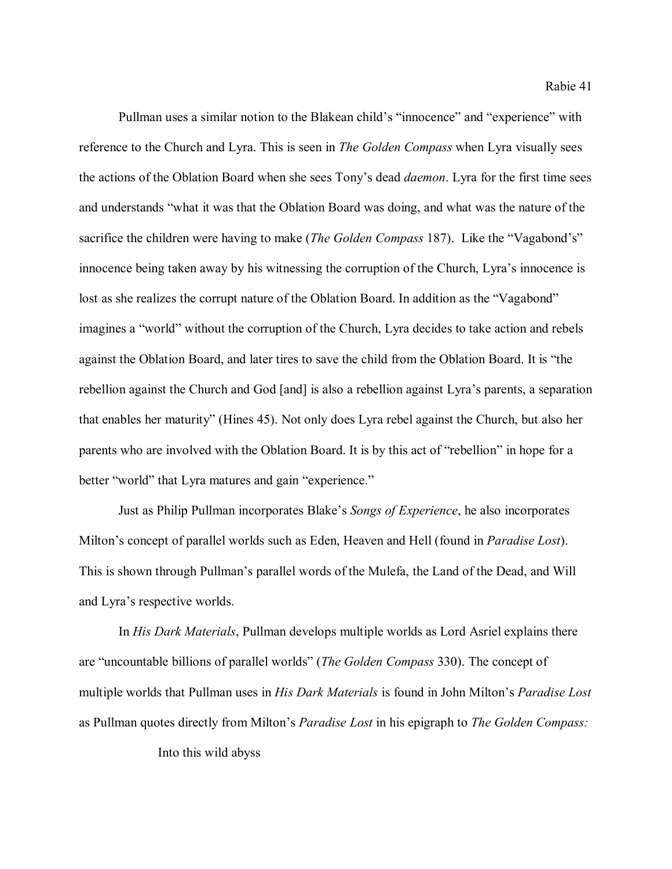Pullman uses a similar notion to the Blakean child's "innocence" and "experience" with reference to the Church and Lyra. This is seen in *The Golden Compass* when Lyra visually sees the actions of the Oblation Board when she sees Tony's dead *daemon*. Lyra for the first time sees and understands "what it was that the Oblation Board was doing, and what was the nature of the sacrifice the children were having to make (*The Golden Compass* 187). Like the "Vagabond's" innocence being taken away by his witnessing the corruption of the Church, Lyra's innocence is lost as she realizes the corrupt nature of the Oblation Board. In addition as the "Vagabond" imagines a "world" without the corruption of the Church, Lyra decides to take action and rebels against the Oblation Board, and later tires to save the child from the Oblation Board. It is "the rebellion against the Church and God [and] is also a rebellion against Lyra's parents, a separation that enables her maturity" (Hines 45). Not only does Lyra rebel against the Church, but also her parents who are involved with the Oblation Board. It is by this act of "rebellion" in hope for a better "world" that Lyra matures and gain "experience."

Just as Philip Pullman incorporates Blake's *Songs of Experience*, he also incorporates Milton's concept of parallel worlds such as Eden, Heaven and Hell (found in *Paradise Lost*). This is shown through Pullman's parallel words of the Mulefa, the Land of the Dead, and Will and Lyra's respective worlds.

In *His Dark Materials*, Pullman develops multiple worlds as Lord Asriel explains there are "uncountable billions of parallel worlds" (*The Golden Compass* 330). The concept of multiple worlds that Pullman uses in *His Dark Materials* is found in John Milton's *Paradise Lost*  as Pullman quotes directly from Milton's *Paradise Lost* in his epigraph to *The Golden Compass:*

Into this wild abyss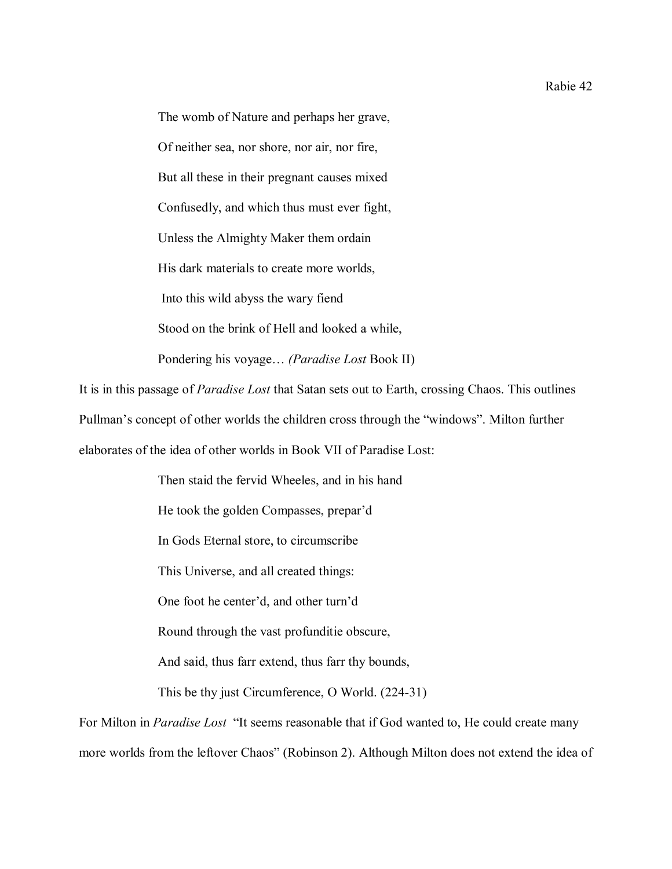The womb of Nature and perhaps her grave, Of neither sea, nor shore, nor air, nor fire, But all these in their pregnant causes mixed Confusedly, and which thus must ever fight, Unless the Almighty Maker them ordain His dark materials to create more worlds, Into this wild abyss the wary fiend Stood on the brink of Hell and looked a while, Pondering his voyage… *(Paradise Lost* Book II)

It is in this passage of *Paradise Lost* that Satan sets out to Earth, crossing Chaos. This outlines Pullman's concept of other worlds the children cross through the "windows". Milton further elaborates of the idea of other worlds in Book VII of Paradise Lost:

> Then staid the fervid Wheeles, and in his hand He took the golden Compasses, prepar'd In Gods Eternal store, to circumscribe This Universe, and all created things: One foot he center'd, and other turn'd Round through the vast profunditie obscure, And said, thus farr extend, thus farr thy bounds, This be thy just Circumference, O World. (224-31)

For Milton in *Paradise Lost* "It seems reasonable that if God wanted to, He could create many more worlds from the leftover Chaos" (Robinson 2). Although Milton does not extend the idea of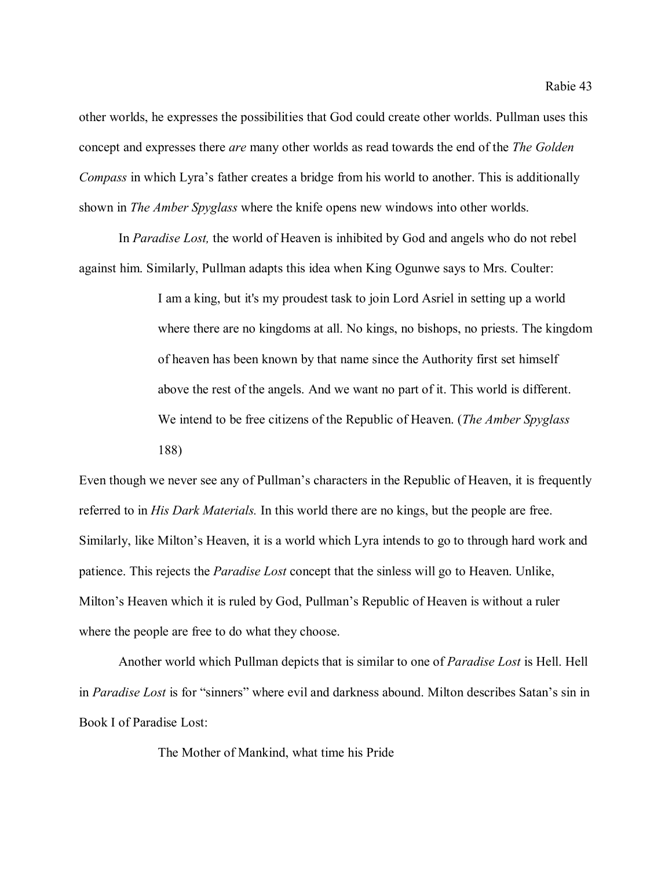other worlds, he expresses the possibilities that God could create other worlds. Pullman uses this concept and expresses there *are* many other worlds as read towards the end of the *The Golden Compass* in which Lyra's father creates a bridge from his world to another. This is additionally shown in *The Amber Spyglass* where the knife opens new windows into other worlds.

In *Paradise Lost,* the world of Heaven is inhibited by God and angels who do not rebel against him. Similarly, Pullman adapts this idea when King Ogunwe says to Mrs. Coulter:

> I am a king, but it's my proudest task to join Lord Asriel in setting up a world where there are no kingdoms at all. No kings, no bishops, no priests. The kingdom of heaven has been known by that name since the Authority first set himself above the rest of the angels. And we want no part of it. This world is different. We intend to be free citizens of the Republic of Heaven. (*The Amber Spyglass* 188)

Even though we never see any of Pullman's characters in the Republic of Heaven, it is frequently referred to in *His Dark Materials.* In this world there are no kings, but the people are free. Similarly, like Milton's Heaven, it is a world which Lyra intends to go to through hard work and patience. This rejects the *Paradise Lost* concept that the sinless will go to Heaven. Unlike, Milton's Heaven which it is ruled by God, Pullman's Republic of Heaven is without a ruler where the people are free to do what they choose.

Another world which Pullman depicts that is similar to one of *Paradise Lost* is Hell. Hell in *Paradise Lost* is for "sinners" where evil and darkness abound. Milton describes Satan's sin in Book I of Paradise Lost:

The Mother of Mankind, what time his Pride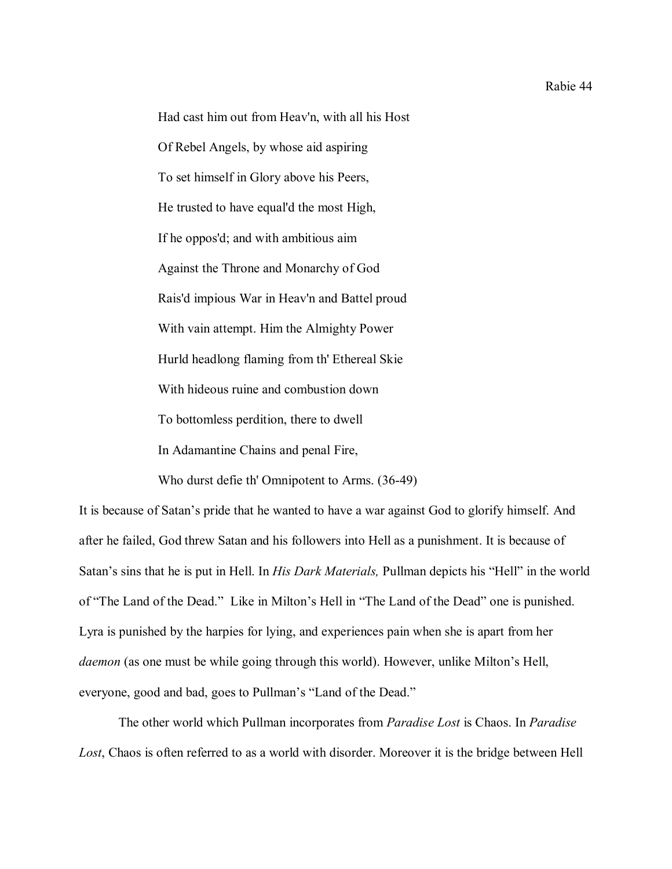Had cast him out from Heav'n, with all his Host Of Rebel Angels, by whose aid aspiring To set himself in Glory above his Peers, He trusted to have equal'd the most High, If he oppos'd; and with ambitious aim Against the Throne and Monarchy of God Rais'd impious War in Heav'n and Battel proud With vain attempt. Him the Almighty Power Hurld headlong flaming from th' Ethereal Skie With hideous ruine and combustion down To bottomless perdition, there to dwell In Adamantine Chains and penal Fire,

Who durst defie th' Omnipotent to Arms. (36-49)

It is because of Satan's pride that he wanted to have a war against God to glorify himself. And after he failed, God threw Satan and his followers into Hell as a punishment. It is because of Satan's sins that he is put in Hell. In *His Dark Materials,* Pullman depicts his "Hell" in the world of "The Land of the Dead." Like in Milton's Hell in "The Land of the Dead" one is punished. Lyra is punished by the harpies for lying, and experiences pain when she is apart from her *daemon* (as one must be while going through this world). However, unlike Milton's Hell, everyone, good and bad, goes to Pullman's "Land of the Dead."

The other world which Pullman incorporates from *Paradise Lost* is Chaos. In *Paradise Lost*, Chaos is often referred to as a world with disorder. Moreover it is the bridge between Hell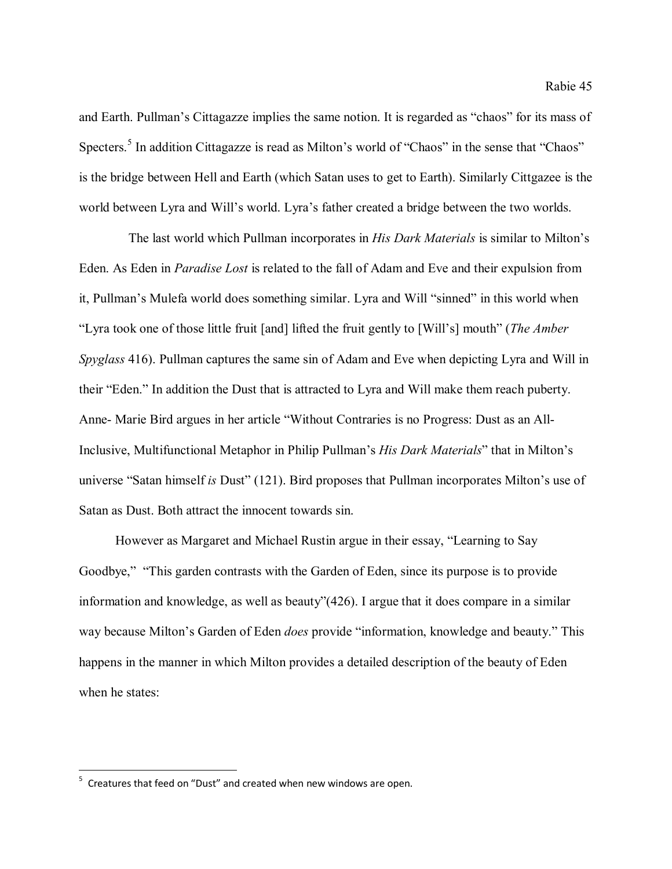and Earth. Pullman's Cittagazze implies the same notion. It is regarded as "chaos" for its mass of Specters.<sup>[5](#page-45-0)</sup> In addition Cittagazze is read as Milton's world of "Chaos" in the sense that "Chaos" is the bridge between Hell and Earth (which Satan uses to get to Earth). Similarly Cittgazee is the world between Lyra and Will's world. Lyra's father created a bridge between the two worlds.

 The last world which Pullman incorporates in *His Dark Materials* is similar to Milton's Eden. As Eden in *Paradise Lost* is related to the fall of Adam and Eve and their expulsion from it, Pullman's Mulefa world does something similar. Lyra and Will "sinned" in this world when "Lyra took one of those little fruit [and] lifted the fruit gently to [Will's] mouth" (*The Amber Spyglass* 416). Pullman captures the same sin of Adam and Eve when depicting Lyra and Will in their "Eden." In addition the Dust that is attracted to Lyra and Will make them reach puberty. Anne- Marie Bird argues in her article "Without Contraries is no Progress: Dust as an All-Inclusive, Multifunctional Metaphor in Philip Pullman's *His Dark Materials*" that in Milton's universe "Satan himself *is* Dust" (121). Bird proposes that Pullman incorporates Milton's use of Satan as Dust. Both attract the innocent towards sin.

 However as Margaret and Michael Rustin argue in their essay, "Learning to Say Goodbye," "This garden contrasts with the Garden of Eden, since its purpose is to provide information and knowledge, as well as beauty"(426). I argue that it does compare in a similar way because Milton's Garden of Eden *does* provide "information, knowledge and beauty." This happens in the manner in which Milton provides a detailed description of the beauty of Eden when he states:

<span id="page-45-0"></span><sup>-&</sup>lt;br>5  $5$  Creatures that feed on "Dust" and created when new windows are open.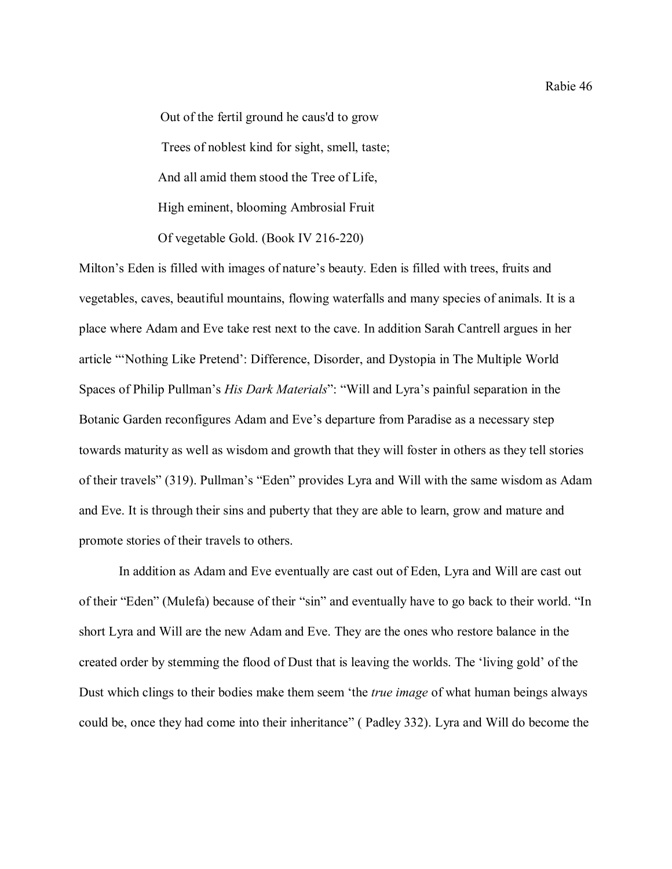Out of the fertil ground he caus'd to grow Trees of noblest kind for sight, smell, taste; And all amid them stood the Tree of Life, High eminent, blooming Ambrosial Fruit Of vegetable Gold. (Book IV 216-220)

Milton's Eden is filled with images of nature's beauty. Eden is filled with trees, fruits and vegetables, caves, beautiful mountains, flowing waterfalls and many species of animals. It is a place where Adam and Eve take rest next to the cave. In addition Sarah Cantrell argues in her article "'Nothing Like Pretend': Difference, Disorder, and Dystopia in The Multiple World Spaces of Philip Pullman's *His Dark Materials*": "Will and Lyra's painful separation in the Botanic Garden reconfigures Adam and Eve's departure from Paradise as a necessary step towards maturity as well as wisdom and growth that they will foster in others as they tell stories of their travels" (319). Pullman's "Eden" provides Lyra and Will with the same wisdom as Adam and Eve. It is through their sins and puberty that they are able to learn, grow and mature and promote stories of their travels to others.

 In addition as Adam and Eve eventually are cast out of Eden, Lyra and Will are cast out of their "Eden" (Mulefa) because of their "sin" and eventually have to go back to their world. "In short Lyra and Will are the new Adam and Eve. They are the ones who restore balance in the created order by stemming the flood of Dust that is leaving the worlds. The 'living gold' of the Dust which clings to their bodies make them seem 'the *true image* of what human beings always could be, once they had come into their inheritance" ( Padley 332). Lyra and Will do become the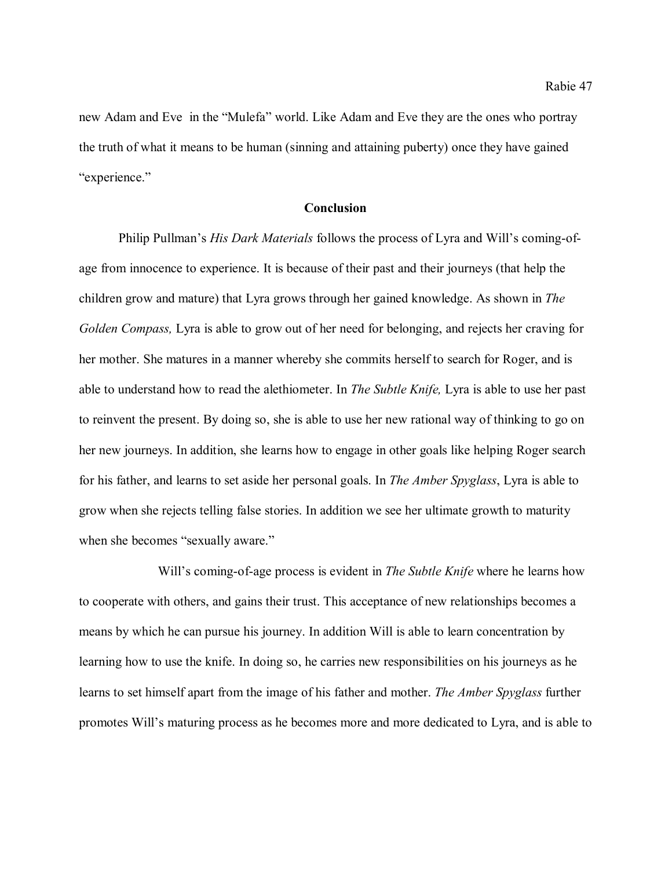new Adam and Eve in the "Mulefa" world. Like Adam and Eve they are the ones who portray the truth of what it means to be human (sinning and attaining puberty) once they have gained "experience."

## **Conclusion**

Philip Pullman's *His Dark Materials* follows the process of Lyra and Will's coming-ofage from innocence to experience. It is because of their past and their journeys (that help the children grow and mature) that Lyra grows through her gained knowledge. As shown in *The Golden Compass,* Lyra is able to grow out of her need for belonging, and rejects her craving for her mother. She matures in a manner whereby she commits herself to search for Roger, and is able to understand how to read the alethiometer. In *The Subtle Knife,* Lyra is able to use her past to reinvent the present. By doing so, she is able to use her new rational way of thinking to go on her new journeys. In addition, she learns how to engage in other goals like helping Roger search for his father, and learns to set aside her personal goals. In *The Amber Spyglass*, Lyra is able to grow when she rejects telling false stories. In addition we see her ultimate growth to maturity when she becomes "sexually aware."

Will's coming-of-age process is evident in *The Subtle Knife* where he learns how to cooperate with others, and gains their trust. This acceptance of new relationships becomes a means by which he can pursue his journey. In addition Will is able to learn concentration by learning how to use the knife. In doing so, he carries new responsibilities on his journeys as he learns to set himself apart from the image of his father and mother. *The Amber Spyglass* further promotes Will's maturing process as he becomes more and more dedicated to Lyra, and is able to